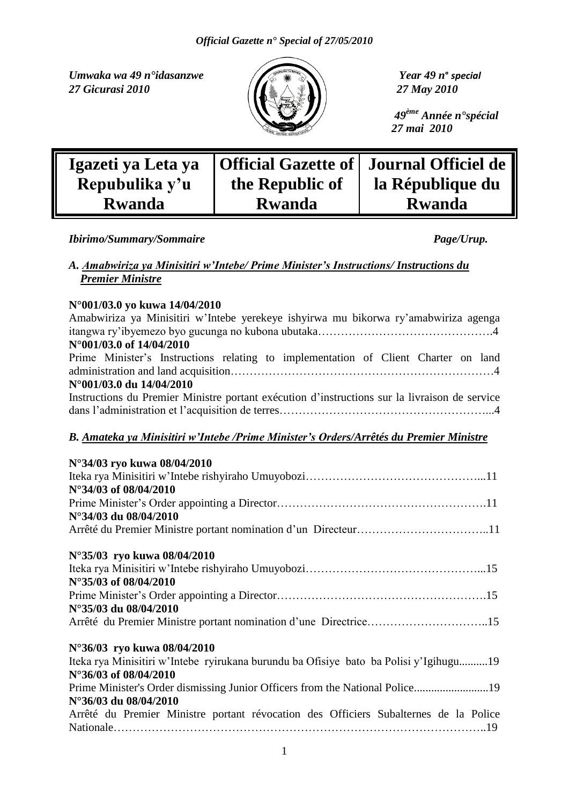*Umwaka wa 49 n°idasanzwe Year 49 n***°** *special 27 Gicurasi 2010 27 May 2010*



 *49ème Année n°spécial 27 mai 2010*

| Igazeti ya Leta ya |                 | Official Gazette of   Journal Officiel de |
|--------------------|-----------------|-------------------------------------------|
| Repubulika y'u     | the Republic of | la République du                          |
| <b>Rwanda</b>      | <b>Rwanda</b>   | <b>Rwanda</b>                             |

*Ibirimo/Summary/Sommaire Page/Urup.* 

### *A. Amabwiriza ya Minisitiri w'Intebe/ Prime Minister's Instructions/ Instructions du Premier Ministre*

### **N°001/03.0 yo kuwa 14/04/2010**

| N°001/03.0 yo kuwa 14/04/2010                                                                 |
|-----------------------------------------------------------------------------------------------|
| Amabwiriza ya Minisitiri w'Intebe yerekeye ishyirwa mu bikorwa ry'amabwiriza agenga           |
|                                                                                               |
| N°001/03.0 of 14/04/2010                                                                      |
| Prime Minister's Instructions relating to implementation of Client Charter on land            |
|                                                                                               |
| N°001/03.0 du 14/04/2010                                                                      |
| Instructions du Premier Ministre portant exécution d'instructions sur la livraison de service |
|                                                                                               |
|                                                                                               |
| B. Amateka ya Minisitiri w'Intebe / Prime Minister's Orders/Arrêtés du Premier Ministre       |
|                                                                                               |
| N°34/03 ryo kuwa 08/04/2010                                                                   |
| N°34/03 of 08/04/2010                                                                         |
|                                                                                               |
| N°34/03 du 08/04/2010                                                                         |
|                                                                                               |
|                                                                                               |
| N°35/03 ryo kuwa 08/04/2010                                                                   |
|                                                                                               |
| N°35/03 of 08/04/2010                                                                         |
|                                                                                               |
| N°35/03 du 08/04/2010                                                                         |
| Arrêté du Premier Ministre portant nomination d'une Directrice15                              |
|                                                                                               |
| N°36/03 ryo kuwa 08/04/2010                                                                   |
| Iteka rya Minisitiri w'Intebe ryirukana burundu ba Ofisiye bato ba Polisi y'Igihugu19         |
| N°36/03 of 08/04/2010                                                                         |
| Prime Minister's Order dismissing Junior Officers from the National Police19                  |
| N°36/03 du 08/04/2010                                                                         |
| Arrêté du Premier Ministre portant révocation des Officiers Subalternes de la Police          |
|                                                                                               |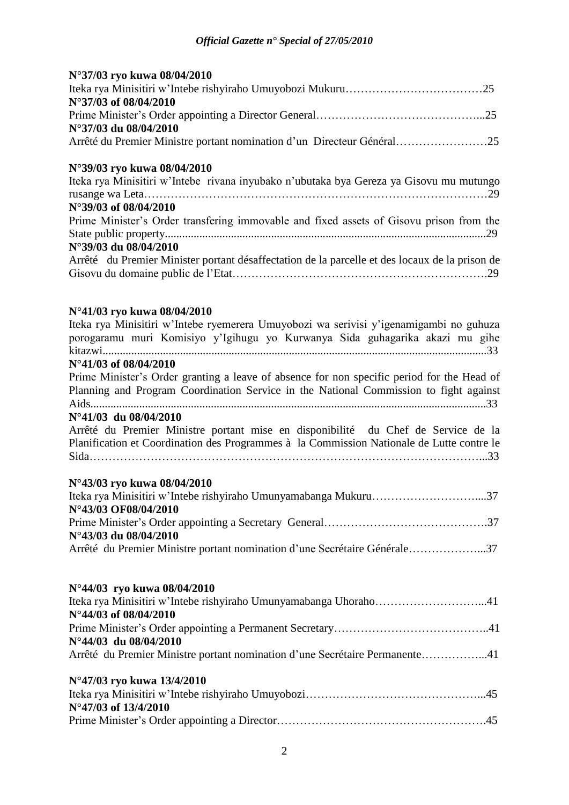| N°37/03 ryo kuwa 08/04/2010                                                                                |
|------------------------------------------------------------------------------------------------------------|
| N°37/03 of 08/04/2010                                                                                      |
|                                                                                                            |
| N°37/03 du 08/04/2010                                                                                      |
| Arrêté du Premier Ministre portant nomination d'un Directeur Général25                                     |
| N°39/03 ryo kuwa 08/04/2010                                                                                |
| Iteka rya Minisitiri w'Intebe rivana inyubako n'ubutaka bya Gereza ya Gisovu mu mutungo                    |
|                                                                                                            |
| N°39/03 of 08/04/2010                                                                                      |
| Prime Minister's Order transfering immovable and fixed assets of Gisovu prison from the                    |
| N°39/03 du 08/04/2010                                                                                      |
| Arrêté du Premier Minister portant désaffectation de la parcelle et des locaux de la prison de             |
|                                                                                                            |
|                                                                                                            |
| N°41/03 ryo kuwa 08/04/2010                                                                                |
| Iteka rya Minisitiri w'Intebe ryemerera Umuyobozi wa serivisi y'igenamigambi no guhuza                     |
| porogaramu muri Komisiyo y'Igihugu yo Kurwanya Sida guhagarika akazi mu gihe                               |
|                                                                                                            |
| N°41/03 of 08/04/2010                                                                                      |
| Prime Minister's Order granting a leave of absence for non specific period for the Head of                 |
| Planning and Program Coordination Service in the National Commission to fight against                      |
|                                                                                                            |
| N°41/03 du 08/04/2010<br>Arrêté du Premier Ministre portant mise en disponibilité du Chef de Service de la |
| Planification et Coordination des Programmes à la Commission Nationale de Lutte contre le                  |
|                                                                                                            |
|                                                                                                            |
| N°43/03 ryo kuwa 08/04/2010                                                                                |
|                                                                                                            |
| N°43/03 OF08/04/2010                                                                                       |
|                                                                                                            |
| N°43/03 du 08/04/2010                                                                                      |
| Arrêté du Premier Ministre portant nomination d'une Secrétaire Générale37                                  |
| N°44/03 ryo kuwa 08/04/2010                                                                                |
|                                                                                                            |
| N°44/03 of 08/04/2010                                                                                      |
| N°44/03 du 08/04/2010                                                                                      |
| Arrêté du Premier Ministre portant nomination d'une Secrétaire Permanente41                                |
| N°47/03 ryo kuwa 13/4/2010                                                                                 |
|                                                                                                            |
| N°47/03 of 13/4/2010                                                                                       |
|                                                                                                            |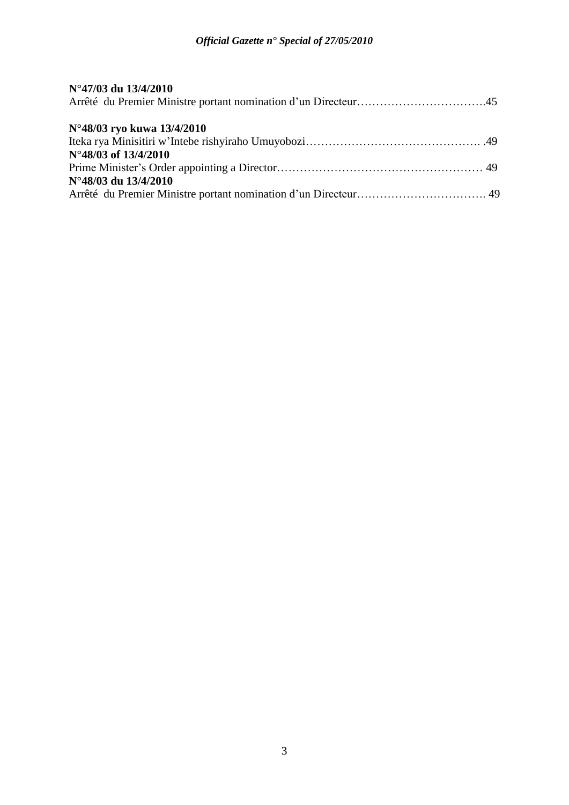| N°47/03 du 13/4/2010                               |  |
|----------------------------------------------------|--|
| N°48/03 ryo kuwa 13/4/2010<br>N°48/03 of 13/4/2010 |  |
| N°48/03 du 13/4/2010                               |  |
|                                                    |  |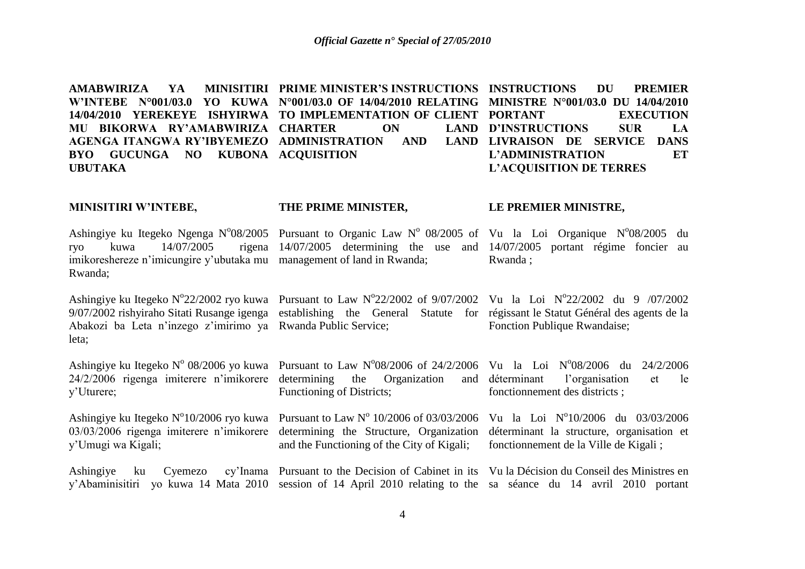AMABWIRIZA YA MINISITIRI PRIME-MINISTER'SINSTRUCTIONS INSTRUCTIONS DU PREMIER **W'INTEBE N°001/03.0 YO KUWA N°001/03.0 OF 14/04/2010 RELATING MINISTRE N°001/03.0 DU 14/04/2010 14/04/2010 YEREKEYE ISHYIRWA TO IMPLEMENTATION OF CLIENT MU BIKORWA RY'AMABWIRIZA CHARTER ON LAND AGENGA ITANGWA RY'IBYEMEZO ADMINISTRATION AND LAND BYO GUCUNGA NO KUBONA ACQUISITION UBUTAKA EXECUTION D'INSTRUCTIONS SUR LA**  LAND LIVRAISON DE SERVICE DANS **L'ADMINISTRATION ET L'ACQUISITION DE TERRES**

#### **MINISITIRI W'INTEBE, THE PRIME MINISTER, LE PREMIER MINISTRE,**

Ashingiye ku Itegeko Ngenga N°08/2005 Pursuant to Organic Law N° 08/2005 of Vu la Loi Organique N°08/2005 du ryo kuwa 14/07/2005 imikoreshereze n'imicungire y'ubutaka mu management of land in Rwanda; Rwanda; 14/07/2005 determining the use and 14/07/2005 portant régime foncier au Rwanda ;

Ashingiye ku Itegeko N°22/2002 ryo kuwa Pursuant to Law N°22/2002 of 9/07/2002 Vu la Loi N°22/2002 du 9 /07/2002 9/07/2002 rishyiraho Sitati Rusange igenga establishing the General Statute for régissant le Statut Général des agents de la Abakozi ba Leta n'inzego z'imirimo ya Rwanda Public Service; leta; Fonction Publique Rwandaise;

Ashingiye ku Itegeko N° 08/2006 yo kuwa Pursuant to Law N°08/2006 of 24/2/2006 Vu la Loi N°08/2006 du 24/2/2006 24/2/2006 rigenga imiterere n'imikorere determining the Organization and y'Uturere; Functioning of Districts; déterminant l'organisation et le fonctionnement des districts ;

Ashingiye ku Itegeko N°10/2006 ryo kuwa Pursuant to Law N° 10/2006 of 03/03/2006 Vu la Loi N°10/2006 du 03/03/2006 03/03/2006 rigenga imiterere n'imikorere determining the Structure, Organization déterminant la structure, organisation et y'Umugi wa Kigali; and the Functioning of the City of Kigali; fonctionnement de la Ville de Kigali ;

Ashingiye ku Cyemezo cy'Inama Pursuant to the Decision of Cabinet in its Vu la Décision du Conseil des Ministres en y'Abaminisitiri yo kuwa 14 Mata 2010 session of 14 April 2010 relating to the sa séance du 14 avril 2010 portant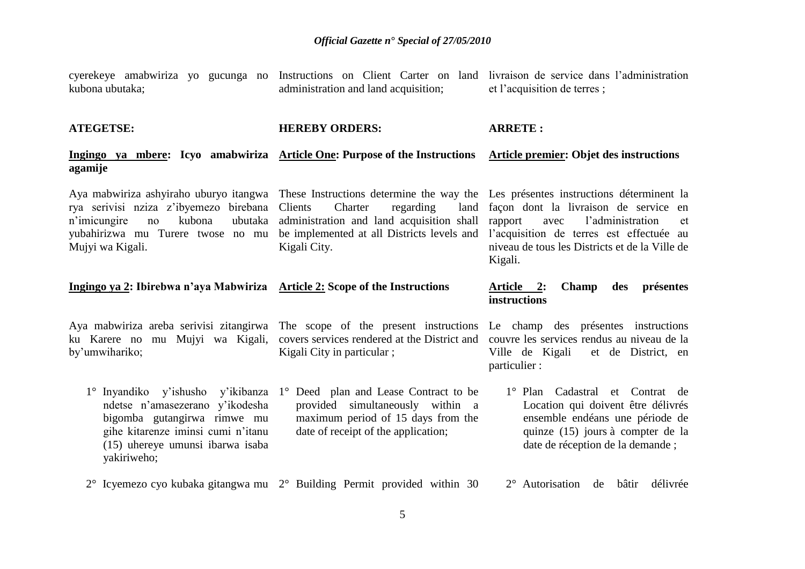| kubona ubutaka;                                                                                                                                         | cyerekeye amabwiriza yo gucunga no Instructions on Client Carter on land livraison de service dans l'administration<br>administration and land acquisition;                                                                                                                                                                                                | et l'acquisition de terres;                                                                                                                                                       |
|---------------------------------------------------------------------------------------------------------------------------------------------------------|------------------------------------------------------------------------------------------------------------------------------------------------------------------------------------------------------------------------------------------------------------------------------------------------------------------------------------------------------------|-----------------------------------------------------------------------------------------------------------------------------------------------------------------------------------|
| <b>ATEGETSE:</b>                                                                                                                                        | <b>HEREBY ORDERS:</b>                                                                                                                                                                                                                                                                                                                                      | <b>ARRETE:</b>                                                                                                                                                                    |
| agamije                                                                                                                                                 | Ingingo ya mbere: Icyo amabwiriza Article One: Purpose of the Instructions Article premier: Objet des instructions                                                                                                                                                                                                                                         |                                                                                                                                                                                   |
| rya serivisi nziza z'ibyemezo birebana<br>kubona<br>ubutaka<br>n'imicungire<br>no<br>Mujyi wa Kigali.                                                   | Aya mabwiriza ashyiraho uburyo itangwa These Instructions determine the way the Les présentes instructions déterminent la<br>Clients<br>regarding<br>land<br>Charter<br>administration and land acquisition shall<br>yubahirizwa mu Turere twose no mu be implemented at all Districts levels and l'acquisition de terres est effectuée au<br>Kigali City. | façon dont la livraison de service en<br>rapport<br>l'administration<br>avec<br>et<br>niveau de tous les Districts et de la Ville de<br>Kigali.                                   |
|                                                                                                                                                         |                                                                                                                                                                                                                                                                                                                                                            |                                                                                                                                                                                   |
| Ingingo ya 2: Ibirebwa n'aya Mabwiriza Article 2: Scope of the Instructions                                                                             |                                                                                                                                                                                                                                                                                                                                                            | Champ<br>présentes<br><u>Article 2:</u><br>des<br>instructions                                                                                                                    |
| ku Karere no mu Mujyi wa Kigali,<br>by'umwihariko;                                                                                                      | Aya mabwiriza areba serivisi zitangirwa. The scope of the present instructions. Le champ des présentes instructions<br>Kigali City in particular;                                                                                                                                                                                                          | covers services rendered at the District and couvre les services rendus au niveau de la<br>Ville de Kigali<br>et de District, en<br>particulier:                                  |
| ndetse n'amasezerano y'ikodesha<br>bigomba gutangirwa rimwe mu<br>gihe kitarenze iminsi cumi n'itanu<br>(15) uhereye umunsi ibarwa isaba<br>yakiriweho; | 1° Inyandiko y'ishusho y'ikibanza 1° Deed plan and Lease Contract to be<br>provided simultaneously within a<br>maximum period of 15 days from the<br>date of receipt of the application;                                                                                                                                                                   | 1° Plan Cadastral et Contrat de<br>Location qui doivent être délivrés<br>ensemble endéans une période de<br>quinze (15) jours à compter de la<br>date de réception de la demande; |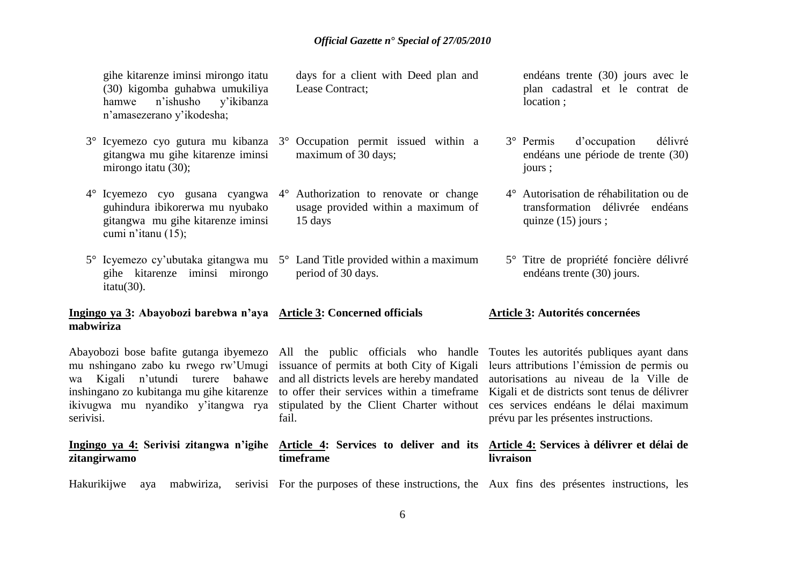gihe kitarenze iminsi mirongo itatu (30) kigomba guhabwa umukiliya hamwe n'ishusho y'ikibanza n'amasezerano y'ikodesha;

- 3° Icyemezo cyo gutura mu kibanza 3° Occupation permit issued within a gitangwa mu gihe kitarenze iminsi mirongo itatu (30);
- guhindura ibikorerwa mu nyubako gitangwa mu gihe kitarenze iminsi cumi n'itanu (15);
- 5° Icyemezo cy'ubutaka gitangwa mu 5° Land Title provided within a maximum gihe kitarenze iminsi mirongo itatu(30).

#### **Ingingo ya 3: Abayobozi barebwa n'aya Article 3: Concerned officials mabwiriza**

fail.

**timeframe**

Abayobozi bose bafite gutanga ibyemezo All the public officials who handle Toutes les autorités publiques ayant dans mu nshingano zabo ku rwego rw'Umugi issuance of permits at both City of Kigali leurs attributions l'émission de permis ou wa Kigali n'utundi turere bahawe and all districts levels are hereby mandated autorisations au niveau de la Ville de inshingano zo kubitanga mu gihe kitarenze to offer their services within a timeframe Kigali et de districts sont tenus de délivrer ikivugwa mu nyandiko y'itangwa rya stipulated by the Client Charter without ces services endéans le délai maximum serivisi.

# **zitangirwamo**

days for a client with Deed plan and Lease Contract;

- maximum of 30 days;
- 4° Icyemezo cyo gusana cyangwa 4° Authorization to renovate or change usage provided within a maximum of 15 days
	- period of 30 days.

endéans trente (30) jours avec le plan cadastral et le contrat de location ;

- 3° Permis d'occupation délivré endéans une période de trente (30) jours ;
- 4° Autorisation de réhabilitation ou de transformation délivrée endéans quinze (15) jours ;
- 5° Titre de propriété foncière délivré endéans trente (30) jours.

#### **Article 3: Autorités concernées**

prévu par les présentes instructions.

#### **Ingingo ya 4: Serivisi zitangwa n'igihe Article 4: Services to deliver and its Article 4: Services à délivrer et délai de livraison**

Hakurikijwe aya mabwiriza, serivisi For the purposes of these instructions, the Aux fins des présentes instructions, les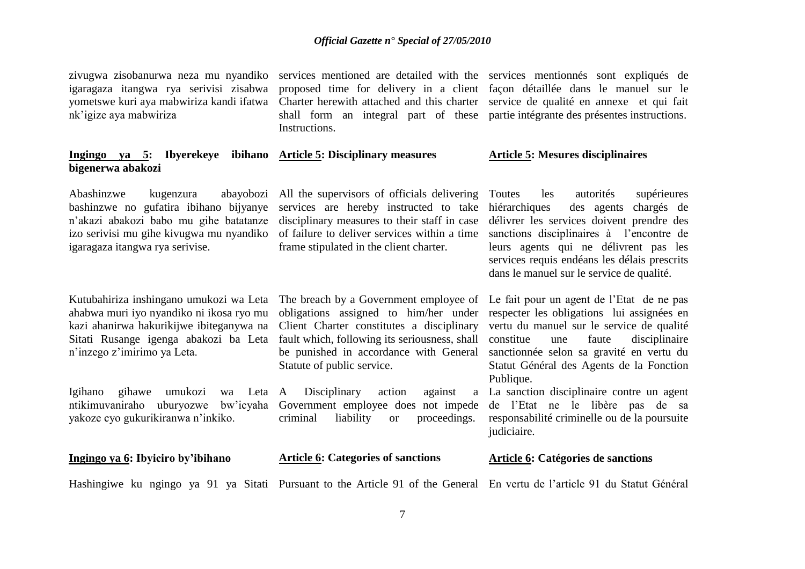igaragaza itangwa rya serivisi zisabwa yometswe kuri aya mabwiriza kandi ifatwa nk'igize aya mabwiriza

**Ingingo ya 5: Ibyerekeye ibihano Article 5: Disciplinary measures bigenerwa abakozi**

igaragaza itangwa rya serivise.

Kutubahiriza inshingano umukozi wa Leta The breach by a Government employee of Le fait pour un agent de l'Etat de ne pas ahabwa muri iyo nyandiko ni ikosa ryo mu kazi ahanirwa hakurikijwe ibiteganywa na Sitati Rusange igenga abakozi ba Leta n'inzego z'imirimo ya Leta.

yakoze cyo gukurikiranwa n'inkiko.

**Ingingo ya 6: Ibyiciro by'ibihano**

proposed time for delivery in a client façon détaillée dans le manuel sur le Charter herewith attached and this charter service de qualité en annexe et qui fait shall form an integral part of these partie intégrante des présentes instructions. Instructions.

Abashinzwe kugenzura abayobozi All the supervisors of officials delivering bashinzwe no gufatira ibihano bijyanye services are hereby instructed to take n'akazi abakozi babo mu gihe batatanze disciplinary measures to their staff in case izo serivisi mu gihe kivugwa mu nyandiko of failure to deliver services within a time sanctions disciplinaires à l'encontre de frame stipulated in the client charter.

> obligations assigned to him/her under respecter les obligations lui assignées en Client Charter constitutes a disciplinary vertu du manuel sur le service de qualité fault which, following its seriousness, shall constitue be punished in accordance with General sanctionnée selon sa gravité en vertu du Statute of public service.

Igihano gihawe umukozi wa Leta A Disciplinary action against a

zivugwa zisobanurwa neza mu nyandiko services mentioned are detailed with the services mentionnés sont expliqués de

#### **Article 5: Mesures disciplinaires**

les autorités supérieures des agents chargés de délivrer les services doivent prendre des leurs agents qui ne délivrent pas les services requis endéans les délais prescrits dans le manuel sur le service de qualité.

une faute disciplinaire Statut Général des Agents de la Fonction Publique.

ntikimuvaniraho uburyozwe bw'icyaha Government employee does not impede de l'Etat ne le libère pas de sa criminal liability or proceedings. responsabilité criminelle ou de la poursuite La sanction disciplinaire contre un agent judiciaire.

#### **Article 6: Categories of sanctions Article 6: Catégories de sanctions**

Hashingiwe ku ngingo ya 91 ya Sitati Pursuant to the Article 91 of the General En vertu de l'article 91 du Statut Général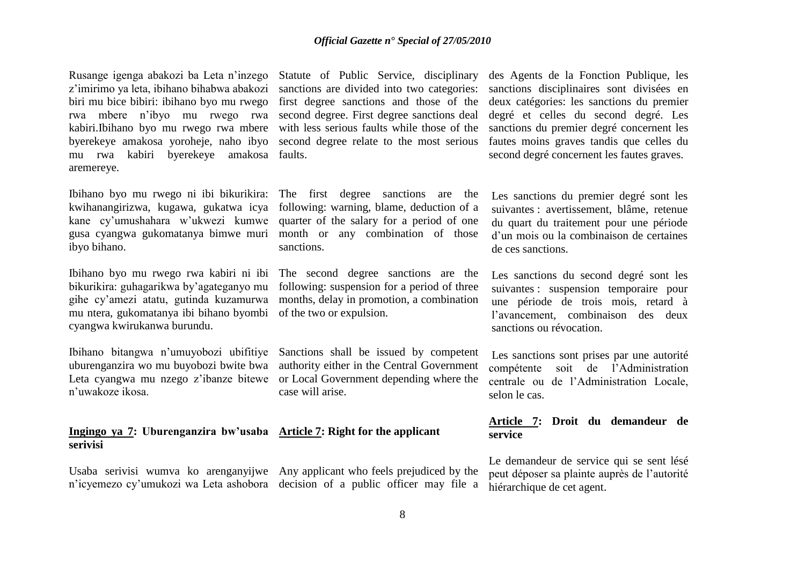Rusange igenga abakozi ba Leta n'inzego Statute of Public Service, disciplinary des Agents de la Fonction Publique, les z'imirimo ya leta, ibihano bihabwa abakozi biri mu bice bibiri: ibihano byo mu rwego rwa mbere n'ibyo mu rwego rwa kabiri.Ibihano byo mu rwego rwa mbere with less serious faults while those of the sanctions du premier degré concernent les byerekeye amakosa yoroheje, naho ibyo mu rwa kabiri byerekeye amakosa faults. aremereye.

Ibihano byo mu rwego ni ibi bikurikira: The first degree sanctions are the kwihanangirizwa, kugawa, gukatwa icya kane cy'umushahara w'ukwezi kumwe gusa cyangwa gukomatanya bimwe muri month or any combination of those ibyo bihano.

Ibihano byo mu rwego rwa kabiri ni ibi bikurikira: guhagarikwa by'agateganyo mu gihe cy'amezi atatu, gutinda kuzamurwa mu ntera, gukomatanya ibi bihano byombi of the two or expulsion. cyangwa kwirukanwa burundu.

Ibihano bitangwa n'umuyobozi ubifitiye Sanctions shall be issued by competent n'uwakoze ikosa.

#### **Ingingo ya 7: Uburenganzira bw'usaba Article 7: Right for the applicant serivisi**

following: warning, blame, deduction of a quarter of the salary for a period of one sanctions.

The second degree sanctions are the following: suspension for a period of three months, delay in promotion, a combination

uburenganzira wo mu buyobozi bwite bwa authority either in the Central Government Leta cyangwa mu nzego z'ibanze bitewe or Local Government depending where the case will arise.

Usaba serivisi wumva ko arenganyijwe Any applicant who feels prejudiced by the n'icyemezo cy'umukozi wa Leta ashobora decision of a public officer may file a

sanctions are divided into two categories: sanctions disciplinaires sont divisées en first degree sanctions and those of the deux catégories: les sanctions du premier second degree. First degree sanctions deal degré et celles du second degré. Les second degree relate to the most serious fautes moins graves tandis que celles du second degré concernent les fautes graves.

> Les sanctions du premier degré sont les suivantes : avertissement, blâme, retenue du quart du traitement pour une période d'un mois ou la combinaison de certaines de ces sanctions.

> Les sanctions du second degré sont les suivantes : suspension temporaire pour une période de trois mois, retard à l'avancement, combinaison des deux sanctions ou révocation.

Les sanctions sont prises par une autorité compétente soit de l'Administration centrale ou de l'Administration Locale, selon le cas.

### **Article 7: Droit du demandeur de service**

Le demandeur de service qui se sent lésé peut déposer sa plainte auprès de l'autorité hiérarchique de cet agent.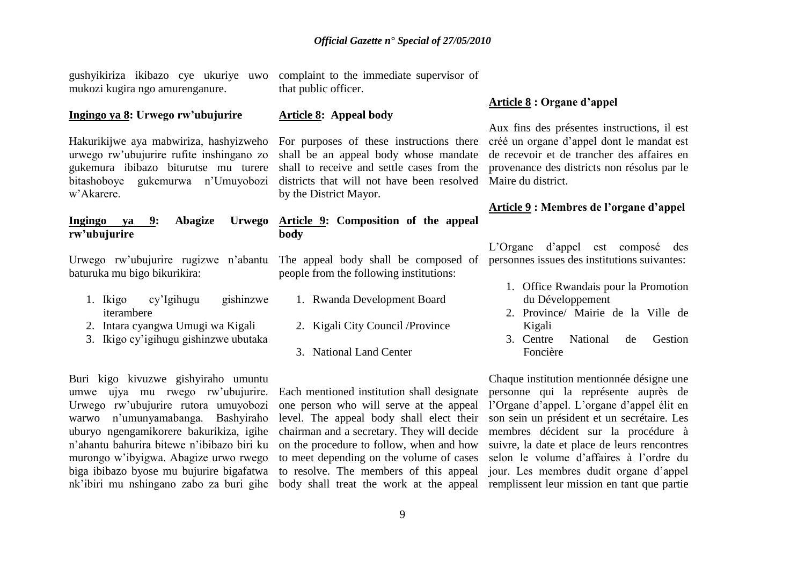gushyikiriza ikibazo cye ukuriye uwo mukozi kugira ngo amurenganure.

#### **Ingingo ya 8: Urwego rw'ubujurire**

Hakurikijwe aya mabwiriza, hashyizweho urwego rw'ubujurire rufite inshingano zo gukemura ibibazo biturutse mu turere bitashoboye gukemurwa n'Umuyobozi w'Akarere.

#### **Ingingo va 9: Abagize rw'ubujurire**

Urwego rw'ubujurire rugizwe n'abantu baturuka mu bigo bikurikira:

- 1. Ikigo cy'Igihugu gishinzwe iterambere
- 2. Intara cyangwa Umugi wa Kigali
- 3. Ikigo cy'igihugu gishinzwe ubutaka

Buri kigo kivuzwe gishyiraho umuntu umwe ujya mu rwego rw'ubujurire. Urwego rw'ubujurire rutora umuyobozi warwo n'umunyamabanga. Bashyiraho nk'ibiri mu nshingano zabo za buri gihe body shall treat the work at the appeal remplissent leur mission en tant que partie

complaint to the immediate supervisor of that public officer.

#### **Article 8: Appeal body**

For purposes of these instructions there créé un organe d'appel dont le mandat est shall be an appeal body whose mandate de recevoir et de trancher des affaires en shall to receive and settle cases from the provenance des districts non résolus par le districts that will not have been resolved Maire du district. by the District Mayor.

#### **Article 9: Composition of the appeal body**

The appeal body shall be composed of personnes issues des institutions suivantes: people from the following institutions:

- 1. Rwanda Development Board
- 2. Kigali City Council /Province
- 3. National Land Center

Aux fins des présentes instructions, il est

**Article 8 : Organe d'appel** 

# **Article 9 : Membres de l'organe d'appel**

L'Organe d'appel est composé des

- 1. Office Rwandais pour la Promotion du Développement
- 2. Province/ Mairie de la Ville de Kigali
- 3. Centre National de Gestion Foncière

uburyo ngengamikorere bakurikiza, igihe chairman and a secretary. They will decide membres décident sur la procédure à n'ahantu bahurira bitewe n'ibibazo biri ku on the procedure to follow, when and how suivre, la date et place de leurs rencontres murongo w'ibyigwa. Abagize urwo rwego to meet depending on the volume of cases selon le volume d'affaires à l'ordre du biga ibibazo byose mu bujurire bigafatwa to resolve. The members of this appeal jour. Les membres dudit organe d'appel Each mentioned institution shall designate personne qui la représente auprès de one person who will serve at the appeal l'Organe d'appel. L'organe d'appel élit en level. The appeal body shall elect their son sein un président et un secrétaire. Les Chaque institution mentionnée désigne une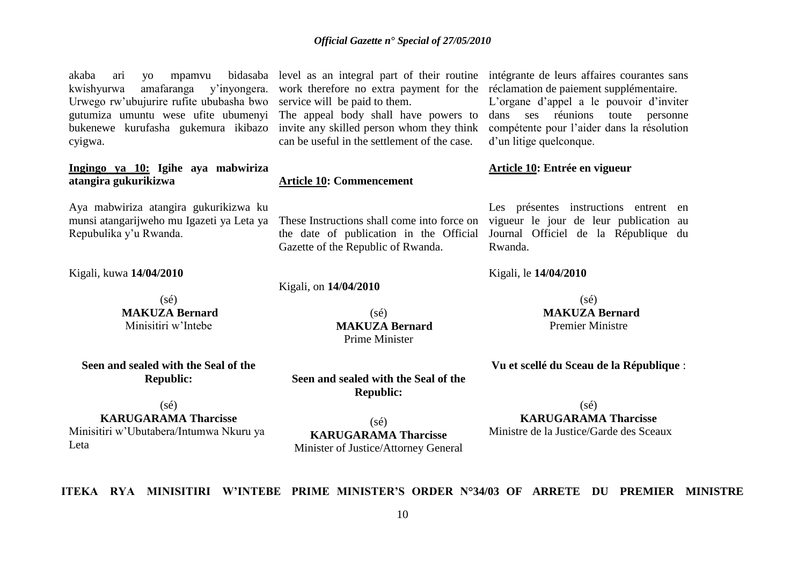kwishyurwa amafaranga y'inyongera. work therefore no extra payment for the réclamation de paiement supplémentaire. Urwego rw'ubujurire rufite ububasha bwo service will be paid to them. gutumiza umuntu wese ufite ubumenyi The appeal body shall have powers to dans ses réunions toute personne bukenewe kurufasha gukemura ikibazo invite any skilled person whom they think compétente pour l'aider dans la résolution cyigwa.

#### **Ingingo ya 10: Igihe aya mabwiriza atangira gukurikizwa**

Aya mabwiriza atangira gukurikizwa ku munsi atangarijweho mu Igazeti ya Leta ya Repubulika y'u Rwanda.

Kigali, kuwa **14/04/2010**

(sé) **MAKUZA Bernard** Minisitiri w'Intebe

**Seen and sealed with the Seal of the Republic:**

can be useful in the settlement of the case.

#### **Article 10: Commencement**

These Instructions shall come into force on vigueur le jour de leur publication au the date of publication in the Official Gazette of the Republic of Rwanda.

Kigali, on **14/04/2010**

 $(sé)$  **MAKUZA Bernard** Prime Minister

**Seen and sealed with the Seal of the Republic:**

akaba ari yo mpamvu bidasaba level as an integral part of their routine intégrante de leurs affaires courantes sans

L'organe d'appel a le pouvoir d'inviter d'un litige quelconque.

#### **Article 10: Entrée en vigueur**

Les présentes instructions entrent en Journal Officiel de la République du Rwanda.

Kigali, le **14/04/2010**

 $(sé)$  **MAKUZA Bernard** Premier Ministre

**Vu et scellé du Sceau de la République** :

(sé)

**KARUGARAMA Tharcisse**

Minisitiri w'Ubutabera/Intumwa Nkuru ya Leta

(sé) **KARUGARAMA Tharcisse** Minister of Justice/Attorney General

 $(sé)$ **KARUGARAMA Tharcisse** Ministre de la Justice/Garde des Sceaux

**ITEKA RYA MINISITIRI W'INTEBE PRIME MINISTER'S ORDER N°34/03 OF ARRETE DU PREMIER MINISTRE**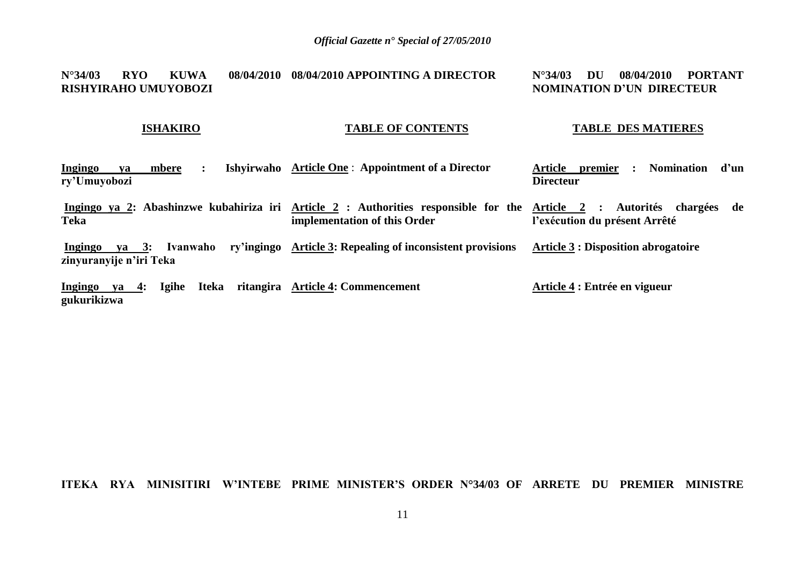#### **N°34/03 RYO KUWA RISHYIRAHO UMUYOBOZI 08/04/2010 APPOINTING A DIRECTOR N°34/03 DU 08/04/2010 PORTANT NOMINATION D'UN DIRECTEUR**

#### **ISHAKIRO**

### **TABLE OF CONTENTS**

#### **TABLE DES MATIERES**

| <b>Ingingo</b><br>mbere<br>va<br>ry'Umuyobozi                   | Ishyirwaho Article One: Appointment of a Director                                                                                                  | premier<br><b>Nomination</b><br>d'un<br>Article<br><b>Directeur</b> |
|-----------------------------------------------------------------|----------------------------------------------------------------------------------------------------------------------------------------------------|---------------------------------------------------------------------|
| <b>Teka</b>                                                     | Ingingo ya 2: Abashinzwe kubahiriza iri Article 2 : Authorities responsible for the Article 2 : Autorités chargées<br>implementation of this Order | - de<br>l'exécution du présent Arrêté                               |
| Ivanwaho<br>$ya \quad 3:$<br>Ingingo<br>zinyuranyije n'iri Teka | ry'ingingo Article 3: Repealing of inconsistent provisions                                                                                         | <b>Article 3 : Disposition abrogatoire</b>                          |
| <b>Igihe</b><br>Iteka<br><b>Ingingo</b><br>ya 4:<br>gukurikizwa | ritangira Article 4: Commencement                                                                                                                  | Article 4 : Entrée en vigueur                                       |

#### **ITEKA RYA MINISITIRI W'INTEBE PRIME MINISTER'S ORDER N°34/03 OF ARRETE DU PREMIER MINISTRE**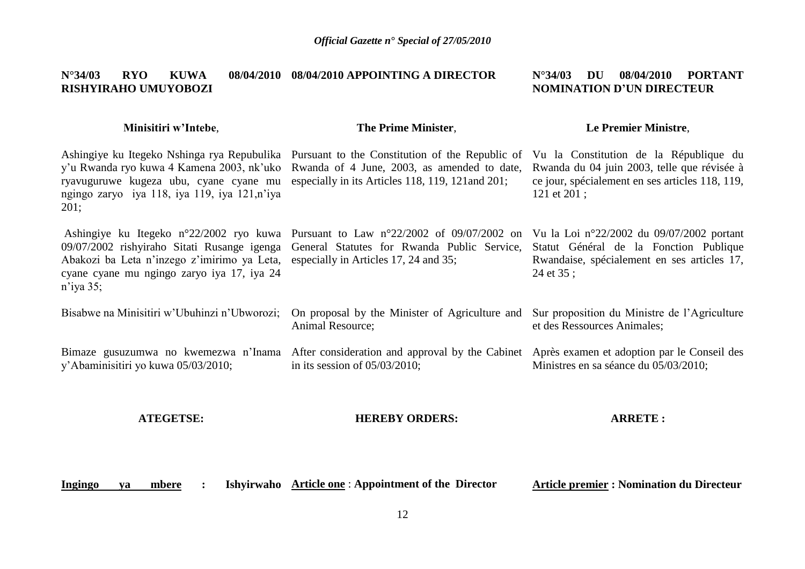#### **N°34/03 RYO KUWA 08/04/2010 08/04/2010 APPOINTING A DIRECTOR RISHYIRAHO UMUYOBOZI N°34/03 DU 08/04/2010 PORTANT NOMINATION D'UN DIRECTEUR**

#### **Minisitiri w'Intebe**,

### **The Prime Minister**,

### **Le Premier Ministre**,

| ryavuguruwe kugeza ubu, cyane cyane mu especially in its Articles 118, 119, 121 and 201;<br>ngingo zaryo iya 118, iya 119, iya 121,n'iya<br>201; | Ashingiye ku Itegeko Nshinga rya Repubulika Pursuant to the Constitution of the Republic of Vu la Constitution de la République du<br>y'u Rwanda ryo kuwa 4 Kamena 2003, nk'uko Rwanda of 4 June, 2003, as amended to date, | Rwanda du 04 juin 2003, telle que révisée à<br>ce jour, spécialement en ses articles 118, 119,<br>121 et 201;                                   |
|--------------------------------------------------------------------------------------------------------------------------------------------------|-----------------------------------------------------------------------------------------------------------------------------------------------------------------------------------------------------------------------------|-------------------------------------------------------------------------------------------------------------------------------------------------|
| Abakozi ba Leta n'inzego z'imirimo ya Leta, especially in Articles 17, 24 and 35;<br>cyane cyane mu ngingo zaryo iya 17, iya 24<br>$n$ 'iya 35;  | Ashingiye ku Itegeko n°22/2002 ryo kuwa Pursuant to Law n°22/2002 of 09/07/2002 on<br>09/07/2002 rishyiraho Sitati Rusange igenga General Statutes for Rwanda Public Service,                                               | Vu la Loi n°22/2002 du 09/07/2002 portant<br>Statut Général de la Fonction Publique<br>Rwandaise, spécialement en ses articles 17,<br>24 et 35; |
| Bisabwe na Minisitiri w'Ubuhinzi n'Ubworozi;                                                                                                     | On proposal by the Minister of Agriculture and<br>Animal Resource;                                                                                                                                                          | Sur proposition du Ministre de l'Agriculture<br>et des Ressources Animales;                                                                     |
| y'Abaminisitiri yo kuwa 05/03/2010;                                                                                                              | Bimaze gusuzumwa no kwemezwa n'Inama After consideration and approval by the Cabinet Après examen et adoption par le Conseil des<br>in its session of $05/03/2010$ ;                                                        | Ministres en sa séance du 05/03/2010;                                                                                                           |

**ATEGETSE:**

**HEREBY ORDERS:**

**ARRETE :**

**Ingingo ya mbere : Ishyirwaho Article one** : **Appointment of the Director** 

**Article premier : Nomination du Directeur**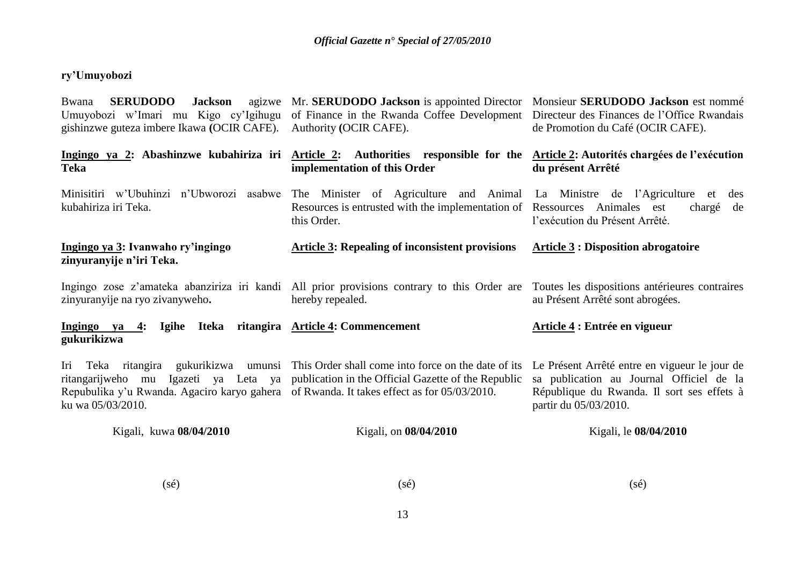## **ry'Umuyobozi**

| <b>SERUDODO</b><br>agizwe<br><b>Jackson</b><br><b>Bwana</b><br>Umuyobozi w'Imari mu Kigo cy'Igihugu<br>gishinzwe guteza imbere Ikawa (OCIR CAFE). | Mr. SERUDODO Jackson is appointed Director Monsieur SERUDODO Jackson est nommé<br>of Finance in the Rwanda Coffee Development Directeur des Finances de l'Office Rwandais<br>Authority (OCIR CAFE). | de Promotion du Café (OCIR CAFE).                                                                                                                                |
|---------------------------------------------------------------------------------------------------------------------------------------------------|-----------------------------------------------------------------------------------------------------------------------------------------------------------------------------------------------------|------------------------------------------------------------------------------------------------------------------------------------------------------------------|
| <b>Teka</b>                                                                                                                                       | Ingingo ya 2: Abashinzwe kubahiriza iri Article 2: Authorities responsible for the Article 2: Autorités chargées de l'exécution<br>implementation of this Order                                     | du présent Arrêté                                                                                                                                                |
| Minisitiri w'Ubuhinzi n'Ubworozi asabwe<br>kubahiriza iri Teka.                                                                                   | The Minister of Agriculture and Animal La Ministre de l'Agriculture<br>Resources is entrusted with the implementation of Ressources Animales est<br>this Order.                                     | des<br>et<br>chargé<br>de<br>l'exécution du Présent Arrêté.                                                                                                      |
| Ingingo ya 3: Ivanwaho ry'ingingo<br>zinyuranyije n'iri Teka.                                                                                     | <b>Article 3: Repealing of inconsistent provisions</b>                                                                                                                                              | <b>Article 3: Disposition abrogatoire</b>                                                                                                                        |
| zinyuranyije na ryo zivanyweho.                                                                                                                   | Ingingo zose z'amateka abanziriza iri kandi All prior provisions contrary to this Order are Toutes les dispositions antérieures contraires<br>hereby repealed.                                      | au Présent Arrêté sont abrogées.                                                                                                                                 |
| Ingingo ya 4: Igihe Iteka ritangira Article 4: Commencement<br>gukurikizwa                                                                        |                                                                                                                                                                                                     | Article 4 : Entrée en vigueur                                                                                                                                    |
| Iri<br>ritangarijweho mu<br>Repubulika y'u Rwanda. Agaciro karyo gahera of Rwanda. It takes effect as for 05/03/2010.<br>ku wa 05/03/2010.        | Teka ritangira gukurikizwa umunsi This Order shall come into force on the date of its<br>Igazeti ya Leta ya publication in the Official Gazette of the Republic                                     | Le Présent Arrêté entre en vigueur le jour de<br>sa publication au Journal Officiel de la<br>République du Rwanda. Il sort ses effets à<br>partir du 05/03/2010. |
| Kigali, kuwa 08/04/2010                                                                                                                           | Kigali, on 08/04/2010                                                                                                                                                                               | Kigali, le 08/04/2010                                                                                                                                            |

(sé)

(sé)

(sé)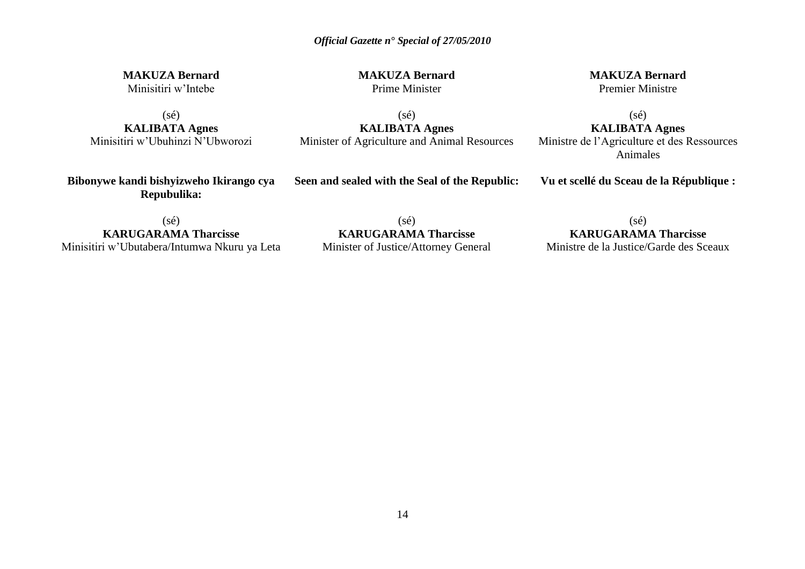**MAKUZA Bernard** Minisitiri w'Intebe

(sé) **KALIBATA Agnes** Minisitiri w'Ubuhinzi N'Ubworozi **MAKUZA Bernard** Prime Minister

**MAKUZA Bernard** Premier Ministre

(sé) **KALIBATA Agnes** Minister of Agriculture and Animal Resources

(sé) **KALIBATA Agnes** Ministre de l'Agriculture et des Ressources Animales

**Bibonywe kandi bishyizweho Ikirango cya Repubulika:**

**Seen and sealed with the Seal of the Republic:**

**Vu et scellé du Sceau de la République :**

 $(s\acute{e})$ **KARUGARAMA Tharcisse** Minisitiri w'Ubutabera/Intumwa Nkuru ya Leta

(sé) **KARUGARAMA Tharcisse** Minister of Justice/Attorney General

 $(s\acute{e})$ **KARUGARAMA Tharcisse** Ministre de la Justice/Garde des Sceaux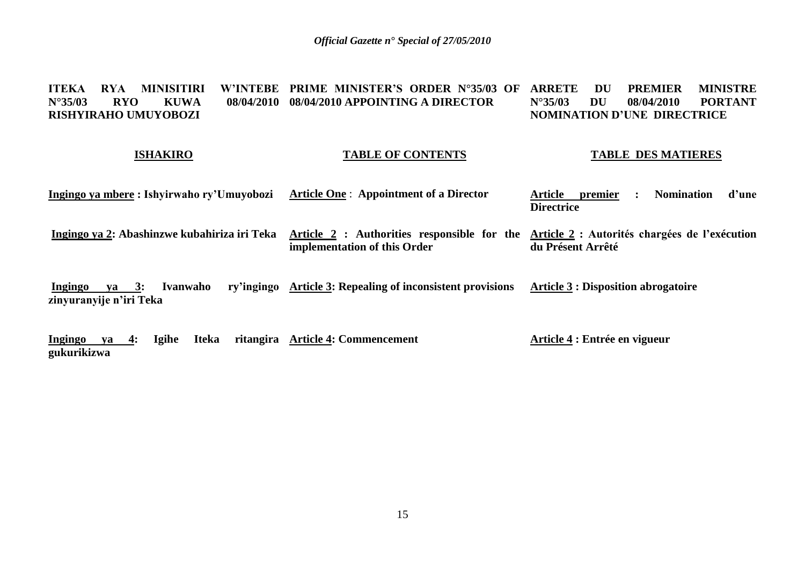#### **ITEKA RYA MINISITIRI<br>N°35/03 RYO KUWA N°35/03 RYO KUWA 08/04/2010 08/04/2010 APPOINTING A DIRECTOR RISHYIRAHO UMUYOBOZI PRIME MINISTER'S ORDER N°35/03 OF ARRETE DU PREMIER MINISTRE<br>N°35/03 DU 08/04/2010 PORTANT N°35/03 DU 08/04/2010 PORTANT NOMINATION D'UNE DIRECTRICE**

#### **ISHAKIRO**

#### **TABLE OF CONTENTS**

#### **TABLE DES MATIERES**

| Ingingo ya mbere : Ishyirwaho ry'Umuyobozi | <b>Article One: Appointment of a Director</b>                                                                                        | premier<br><b>Nomination</b><br>d'une<br>Article |
|--------------------------------------------|--------------------------------------------------------------------------------------------------------------------------------------|--------------------------------------------------|
|                                            |                                                                                                                                      | <b>Directrice</b>                                |
|                                            |                                                                                                                                      |                                                  |
|                                            | Ingingo ya 2: Abashinzwe kubahiriza iri Teka Article 2: Authorities responsible for the Article 2: Autorités chargées de l'exécution |                                                  |
|                                            | implementation of this Order                                                                                                         | du Présent Arrêté                                |

**Ingingo ya 3: Ivanwaho ry'ingingo Article 3: Repealing of inconsistent provisions zinyuranyije n'iri Teka Article 3 : Disposition abrogatoire**

**Ingingo ya 4: Igihe Iteka gukurikizwa Article 4: Commencement Article 4 : Entrée en vigueur**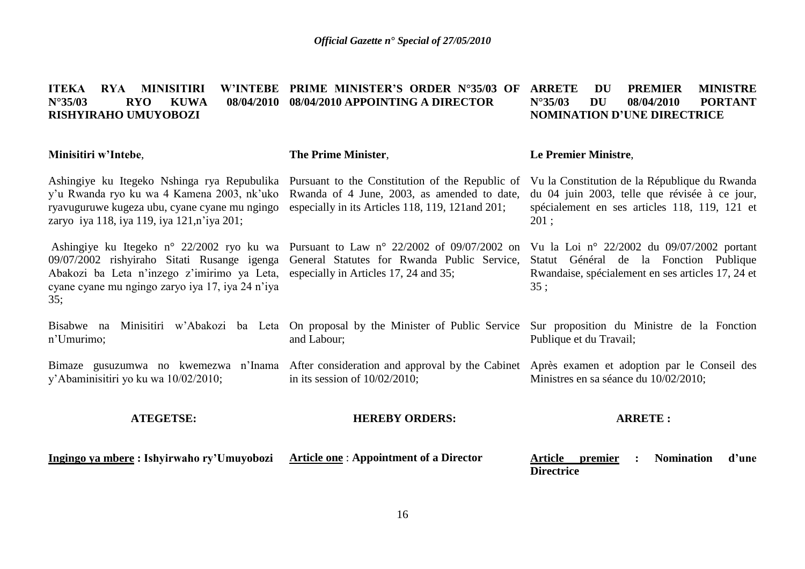#### **ITEKA RYA MINISITIRI N°35/03 RYO KUWA 08/04/2010 08/04/2010 APPOINTING A DIRECTOR RISHYIRAHO UMUYOBOZI PRIME MINISTER'S ORDER N°35/03 OF** *ARREMIER MINISTRE* **N°35/03 DU 08/04/2010 PORTANT NOMINATION D'UNE DIRECTRICE**

#### **Minisitiri w'Intebe**,

#### **The Prime Minister**,

and Labour;

in its session of 10/02/2010;

Ashingiye ku Itegeko Nshinga rya Repubulika y'u Rwanda ryo ku wa 4 Kamena 2003, nk'uko ryavuguruwe kugeza ubu, cyane cyane mu ngingo zaryo iya 118, iya 119, iya 121,n'iya 201;

Ashingiye ku Itegeko n° 22/2002 ryo ku wa 09/07/2002 rishyiraho Sitati Rusange igenga Abakozi ba Leta n'inzego z'imirimo ya Leta, cyane cyane mu ngingo zaryo iya 17, iya 24 n'iya 35;

n'Umurimo;

y'Abaminisitiri yo ku wa 10/02/2010;

Rwanda of 4 June, 2003, as amended to date, especially in its Articles 118, 119, 121and 201;

Pursuant to Law n° 22/2002 of 09/07/2002 on Vu la Loi n° 22/2002 du 09/07/2002 portant General Statutes for Rwanda Public Service, especially in Articles 17, 24 and 35;

### **Le Premier Ministre**,

Pursuant to the Constitution of the Republic of Vu la Constitution de la République du Rwanda du 04 juin 2003, telle que révisée à ce jour, spécialement en ses articles 118, 119, 121 et 201 ;

> Statut Général de la Fonction Publique Rwandaise, spécialement en ses articles 17, 24 et 35 ;

Bisabwe na Minisitiri w'Abakozi ba Leta On proposal by the Minister of Public Service Sur proposition du Ministre de la Fonction Publique et du Travail;

Bimaze gusuzumwa no kwemezwa n'Inama After consideration and approval by the Cabinet Après examen et adoption par le Conseil des Ministres en sa séance du 10/02/2010;

#### **ATEGETSE:**

#### **HEREBY ORDERS:**

#### **ARRETE :**

**Ingingo ya mbere : Ishyirwaho ry'Umuyobozi** 

**Article one** : **Appointment of a Director** 

**Article premier : Nomination d'une Directrice**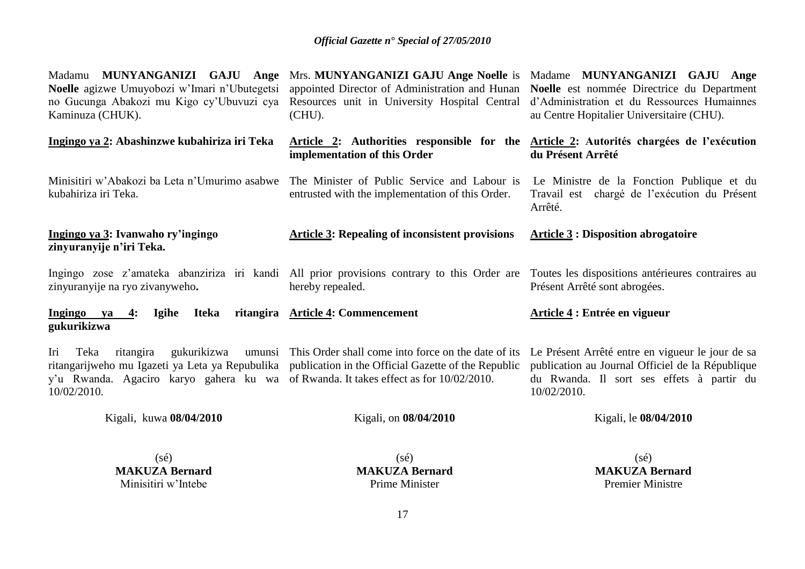| Madamu MUNYANGANIZI GAJU Ange<br>Noelle agizwe Umuyobozi w'Imari n'Ubutegetsi<br>no Gucunga Abakozi mu Kigo cy'Ubuvuzi cya<br>Kaminuza (CHUK). | Mrs. MUNYANGANIZI GAJU Ange Noelle is Madame MUNYANGANIZI GAJU Ange<br>appointed Director of Administration and Hunan<br>Resources unit in University Hospital Central d'Administration et du Ressources Humainnes<br>(CHU). | Noelle est nommée Directrice du Department<br>au Centre Hopitalier Universitaire (CHU).                                                                          |
|------------------------------------------------------------------------------------------------------------------------------------------------|------------------------------------------------------------------------------------------------------------------------------------------------------------------------------------------------------------------------------|------------------------------------------------------------------------------------------------------------------------------------------------------------------|
| Ingingo ya 2: Abashinzwe kubahiriza iri Teka                                                                                                   | Article 2: Authorities responsible for the Article 2: Autorités chargées de l'exécution<br>implementation of this Order                                                                                                      | du Présent Arrêté                                                                                                                                                |
| Minisitiri w'Abakozi ba Leta n'Umurimo asabwe<br>kubahiriza iri Teka.                                                                          | The Minister of Public Service and Labour is<br>entrusted with the implementation of this Order.                                                                                                                             | Le Ministre de la Fonction Publique et du<br>Travail est chargé de l'exécution du Présent<br>Arrêté.                                                             |
| Ingingo ya 3: Ivanwaho ry'ingingo<br>zinyuranyije n'iri Teka.                                                                                  | <b>Article 3: Repealing of inconsistent provisions</b>                                                                                                                                                                       | <b>Article 3 : Disposition abrogatoire</b>                                                                                                                       |
| zinyuranyije na ryo zivanyweho.                                                                                                                | Ingingo zose z'amateka abanziriza iri kandi All prior provisions contrary to this Order are<br>hereby repealed.                                                                                                              | Toutes les dispositions antérieures contraires au<br>Présent Arrêté sont abrogées.                                                                               |
| Ingingo ya<br><b>Iteka</b><br><b>Igihe</b><br>$-4:$<br>gukurikizwa                                                                             | ritangira Article 4: Commencement                                                                                                                                                                                            | Article 4 : Entrée en vigueur                                                                                                                                    |
| Iri<br>Teka<br>y'u Rwanda. Agaciro karyo gahera ku wa of Rwanda. It takes effect as for 10/02/2010.<br>10/02/2010.                             | ritangira gukurikizwa umunsi This Order shall come into force on the date of its<br>ritangarijweho mu Igazeti ya Leta ya Repubulika publication in the Official Gazette of the Republic                                      | Le Présent Arrêté entre en vigueur le jour de sa<br>publication au Journal Officiel de la République<br>du Rwanda. Il sort ses effets à partir du<br>10/02/2010. |
| Kigali, kuwa 08/04/2010                                                                                                                        | Kigali, on 08/04/2010                                                                                                                                                                                                        | Kigali, le 08/04/2010                                                                                                                                            |
| $(s\acute{e})$                                                                                                                                 | $(s\acute{e})$                                                                                                                                                                                                               | $(s\acute{e})$                                                                                                                                                   |

**MAKUZA Bernard** Minisitiri w'Intebe

(sé) **MAKUZA Bernard** Prime Minister

(sé) **MAKUZA Bernard** Premier Ministre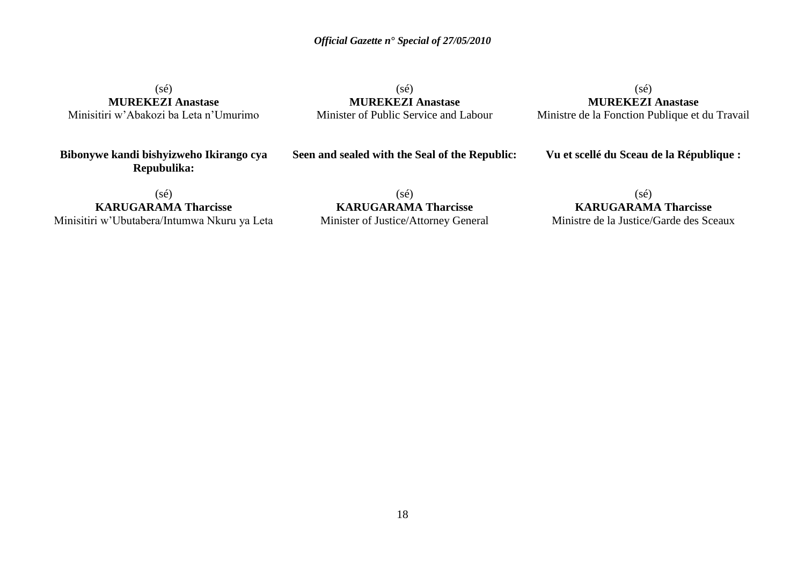(sé) **MUREKEZI Anastase** Minisitiri w'Abakozi ba Leta n'Umurimo

(sé) **MUREKEZI Anastase** Minister of Public Service and Labour

 $(s\acute{e})$ **MUREKEZI Anastase** Ministre de la Fonction Publique et du Travail

**Bibonywe kandi bishyizweho Ikirango cya Repubulika:**

**Seen and sealed with the Seal of the Republic:**

**Vu et scellé du Sceau de la République :**

(sé) **KARUGARAMA Tharcisse**

Minisitiri w'Ubutabera/Intumwa Nkuru ya Leta

 $(s\acute{e})$ **KARUGARAMA Tharcisse** Minister of Justice/Attorney General

(sé) **KARUGARAMA Tharcisse** Ministre de la Justice/Garde des Sceaux

18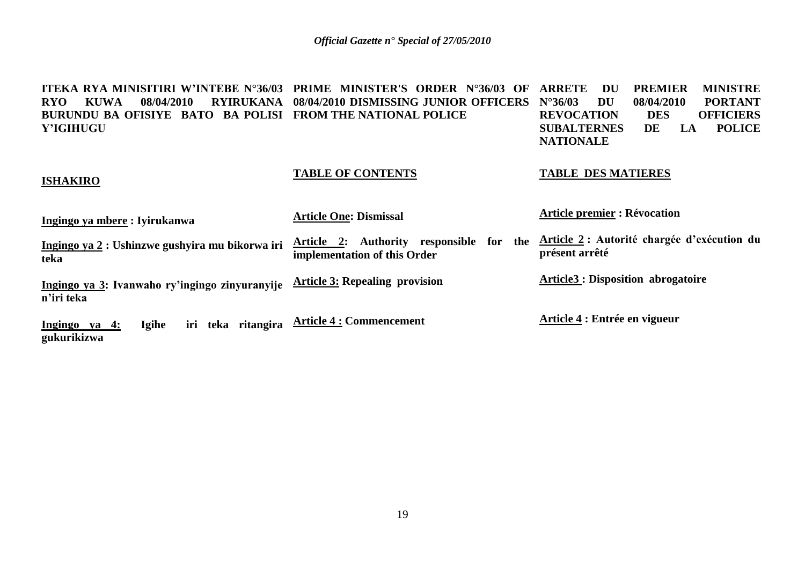**ITEKA RYA MINISITIRI W'INTEBE N°36/03 PRIME MINISTER'S ORDER N°36/03 OF ARRETE DU PREMIER MINISTRE RYO KUWA 08/04/2010 RYIRUKANA 08/04/2010 DISMISSING JUNIOR OFFICERS BURUNDU BA OFISIYE BATO BA POLISI FROM THE NATIONAL POLICE Y'IGIHUGU NU 08/04/2010 PORTANT<br>
ION DES OFFICIERS REVOCATION DES OFFICIERS SUBALTERNES NATIONALE**

#### **TABLE OF CONTENTS**

**ISHAKIRO** 

#### **TABLE DES MATIERES**

| Ingingo ya mbere: Iyirukanwa                                 | <b>Article One: Dismissal</b>                                                               | <b>Article premier : Révocation</b>                           |
|--------------------------------------------------------------|---------------------------------------------------------------------------------------------|---------------------------------------------------------------|
| Ingingo ya 2 : Ushinzwe gushyira mu bikorwa iri<br>teka      | the<br><b>Authority</b><br>responsible for<br>Article<br>2:<br>implementation of this Order | Article 2 : Autorité chargée d'exécution du<br>présent arrêté |
| Ingingo ya 3: Ivanwaho ry'ingingo zinyuranyije<br>n'iri teka | <b>Article 3: Repealing provision</b>                                                       | <b>Article3: Disposition abrogatoire</b>                      |
| <b>Igihe</b><br><u>Ingingo ya 4:</u><br>gukurikizwa          | iri teka ritangira Article 4 : Commencement                                                 | Article 4 : Entrée en vigueur                                 |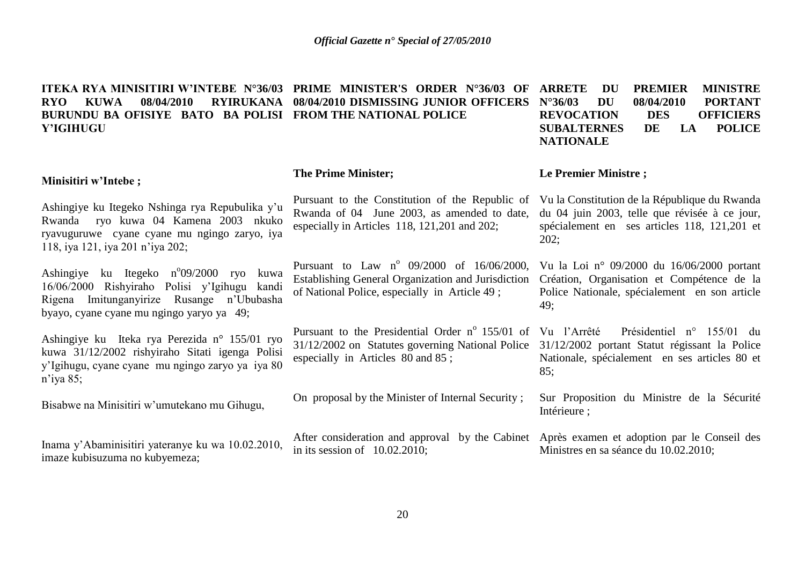**ITEKA RYA MINISITIRI W'INTEBE N°36/03 PRIME MINISTER'S ORDER N°36/03 OF RYO KUWA 08/04/2010 RYIRUKANA 08/04/2010 DISMISSING JUNIOR OFFICERS BURUNDU BA OFISIYE BATO BA POLISI FROM THE NATIONAL POLICE Y'IGIHUGU PREMIER MINISTRE N°36/03 DU 08/04/2010 PORTANT REVOCATION DES OFFICIERS SUBALTERNES DE LA POLICE NATIONALE**

#### **Minisitiri w'Intebe ;**

Ashingiye ku Itegeko Nshinga rya Repubulika y'u Rwanda ryo kuwa 04 Kamena 2003 nkuko ryavuguruwe cyane cyane mu ngingo zaryo, iya 118, iya 121, iya 201 n'iya 202;

Ashingiye ku Itegeko n°09/2000 ryo kuwa 16/06/2000 Rishyiraho Polisi y'Igihugu kandi Rigena Imitunganyirize Rusange n'Ububasha byayo, cyane cyane mu ngingo yaryo ya 49;

Ashingiye ku Iteka rya Perezida n° 155/01 ryo kuwa 31/12/2002 rishyiraho Sitati igenga Polisi y'Igihugu, cyane cyane mu ngingo zaryo ya iya 80 n'iya 85;

Bisabwe na Minisitiri w'umutekano mu Gihugu,

Inama y'Abaminisitiri yateranye ku wa 10.02.2010, imaze kubisuzuma no kubyemeza;

#### **The Prime Minister;**

Pursuant to the Constitution of the Republic of Vu la Constitution de la République du Rwanda Rwanda of 04 June 2003, as amended to date, du 04 juin 2003, telle que révisée à ce jour, especially in Articles 118, 121,201 and 202;

Pursuant to Law  $n^{\circ}$  09/2000 of 16/06/2000, Establishing General Organization and Jurisdiction Création, Organisation et Compétence de la of National Police, especially in Article 49 ;

Pursuant to the Presidential Order  $n^{\circ}$  155/01 of Vu l'Arrêté 31/12/2002 on Statutes governing National Police 31/12/2002 portant Statut régissant la Police especially in Articles 80 and 85 ;

On proposal by the Minister of Internal Security ;

After consideration and approval by the Cabinet Après examen et adoption par le Conseil des in its session of 10.02.2010;

#### **Le Premier Ministre ;**

spécialement en ses articles 118, 121,201 et 202;

Vu la Loi n° 09/2000 du 16/06/2000 portant Police Nationale, spécialement en son article 49;

Présidentiel n° 155/01 du Nationale, spécialement en ses articles 80 et 85;

Sur Proposition du Ministre de la Sécurité Intérieure ;

Ministres en sa séance du 10.02.2010;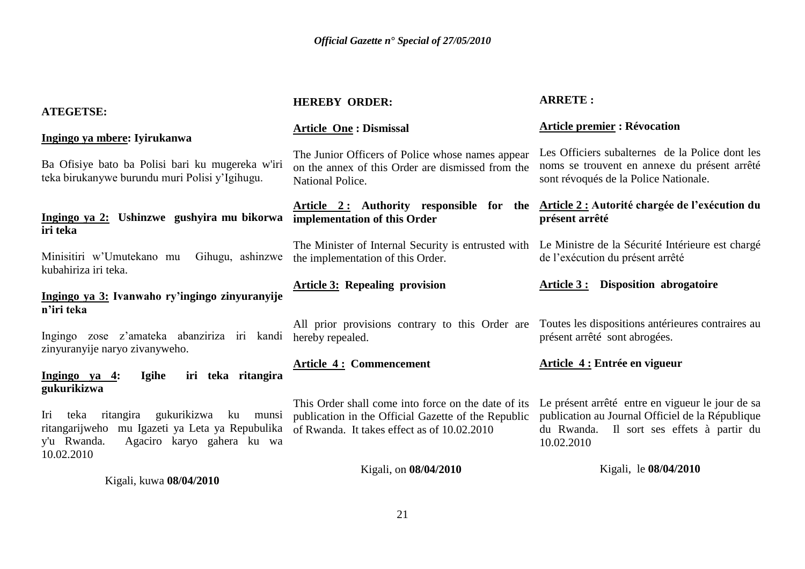| <b>ATEGETSE:</b>                                                                                                                                                        | <b>HEREBY ORDER:</b>                                                                                                                                      | <b>ARRETE:</b>                                                                                                                                                  |
|-------------------------------------------------------------------------------------------------------------------------------------------------------------------------|-----------------------------------------------------------------------------------------------------------------------------------------------------------|-----------------------------------------------------------------------------------------------------------------------------------------------------------------|
| Ingingo ya mbere: Iyirukanwa                                                                                                                                            | <b>Article One: Dismissal</b>                                                                                                                             | <b>Article premier : Révocation</b>                                                                                                                             |
| Ba Ofisiye bato ba Polisi bari ku mugereka w'iri<br>teka birukanywe burundu muri Polisi y'Igihugu.                                                                      | The Junior Officers of Police whose names appear<br>on the annex of this Order are dismissed from the<br>National Police.                                 | Les Officiers subalternes de la Police dont les<br>noms se trouvent en annexe du présent arrêté<br>sont révoqués de la Police Nationale.                        |
| Ingingo ya 2: Ushinzwe gushyira mu bikorwa<br>iri teka                                                                                                                  | Article 2: Authority responsible for the<br>implementation of this Order                                                                                  | Article 2 : Autorité chargée de l'exécution du<br>présent arrêté                                                                                                |
| Minisitiri w'Umutekano mu<br>Gihugu, ashinzwe<br>kubahiriza iri teka.                                                                                                   | The Minister of Internal Security is entrusted with<br>the implementation of this Order.                                                                  | Le Ministre de la Sécurité Intérieure est chargé<br>de l'exécution du présent arrêté                                                                            |
| Ingingo ya 3: Ivanwaho ry'ingingo zinyuranyije<br>n'iri teka                                                                                                            | <b>Article 3: Repealing provision</b>                                                                                                                     | Disposition abrogatoire<br><u>Article 3 :</u>                                                                                                                   |
| Ingingo zose z'amateka abanziriza iri kandi<br>zinyuranyije naryo zivanyweho.                                                                                           | All prior provisions contrary to this Order are<br>hereby repealed.                                                                                       | Toutes les dispositions antérieures contraires au<br>présent arrêté sont abrogées.                                                                              |
| iri teka ritangira<br>Ingingo ya 4:<br>Igihe<br>gukurikizwa                                                                                                             | <b>Article 4: Commencement</b>                                                                                                                            | Article 4 : Entrée en vigueur                                                                                                                                   |
| teka<br>ritangira<br>gukurikizwa<br>Iri<br>ku<br>munsi<br>mu Igazeti ya Leta ya Repubulika<br>ritangarijweho<br>y'u Rwanda.<br>Agaciro karyo gahera ku wa<br>10.02.2010 | This Order shall come into force on the date of its<br>publication in the Official Gazette of the Republic<br>of Rwanda. It takes effect as of 10.02.2010 | Le présent arrêté entre en vigueur le jour de sa<br>publication au Journal Officiel de la République<br>du Rwanda. Il sort ses effets à partir du<br>10.02.2010 |
| Kigali, kuwa 08/04/2010                                                                                                                                                 | Kigali, on 08/04/2010                                                                                                                                     | Kigali, le 08/04/2010                                                                                                                                           |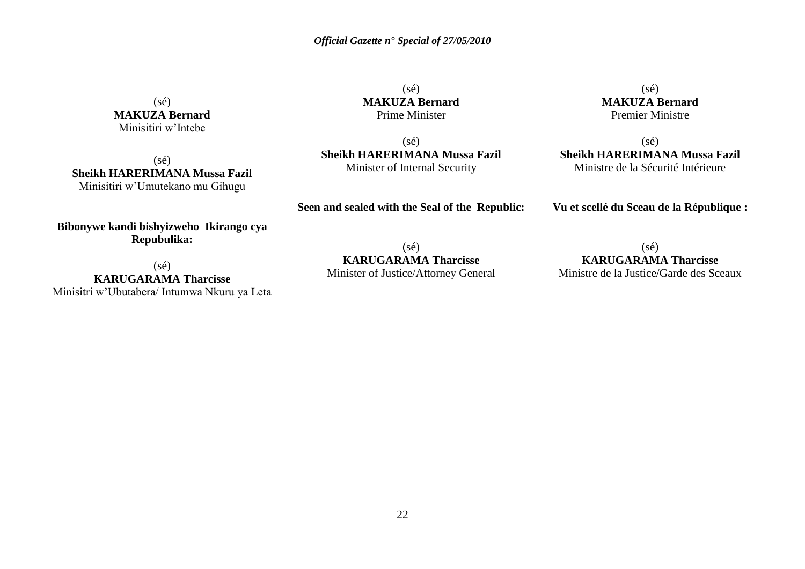$(s\acute{e})$ **MAKUZA Bernard** Prime Minister

(sé) **Sheikh HARERIMANA Mussa Fazil** Minister of Internal Security

**Seen and sealed with the Seal of the Republic:**

 $(s\acute{e})$ **MAKUZA Bernard** Premier Ministre

 $(s\acute{e})$ **Sheikh HARERIMANA Mussa Fazil** Ministre de la Sécurité Intérieure

**Vu et scellé du Sceau de la République :**

(sé) **KARUGARAMA Tharcisse**

Minister of Justice/Attorney General

 $(s\acute{e})$ **KARUGARAMA Tharcisse** Ministre de la Justice/Garde des Sceaux

 $(sé)$ **MAKUZA Bernard** Minisitiri w'Intebe

 $(sé)$ **Sheikh HARERIMANA Mussa Fazil** Minisitiri w'Umutekano mu Gihugu

**Bibonywe kandi bishyizweho Ikirango cya Repubulika:**

(sé)

**KARUGARAMA Tharcisse** Minisitri w'Ubutabera/ Intumwa Nkuru ya Leta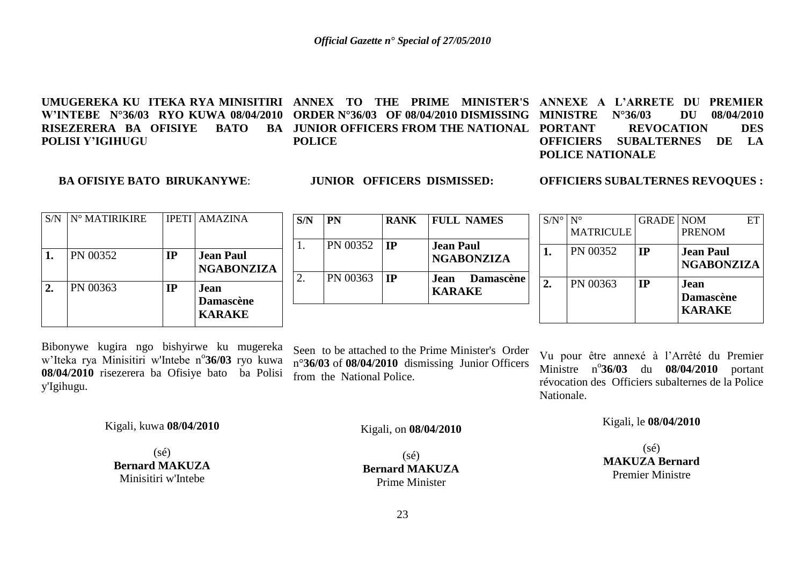UMUGEREKA KU ITEKA RYA MINISITIRI ANNEX TO THE PRIME MINISTER'S ANNEXE A L'ARRETE DU PREMIER **W'INTEBE N°36/03 RYO KUWA 08/04/2010 ORDER N°36/03 OF 08/04/2010 DISMISSING MINISTRE N°36/03 DU 08/04/2010 RISEZERERA BA OFISIYE BATO POLISI Y'IGIHUGU BA JUNIOR OFFICERS FROM THE NATIONAL PORTANT POLICE REVOCATION DES OFFICIERS SUBALTERNES DE LA POLICE NATIONALE**

#### **BA OFISIYE BATO BIRUKANYWE**:

**JUNIOR OFFICERS DISMISSED:**

**OFFICIERS SUBALTERNES REVOQUES :**

| S/N | $N^{\circ}$ MATIRIKIRE |           | <b>IPETI   AMAZINA</b>                    |
|-----|------------------------|-----------|-------------------------------------------|
|     | PN 00352               | <b>TP</b> | <b>Jean Paul</b><br><b>NGABONZIZA</b>     |
|     | PN 00363               | IP        | Jean<br><b>Damascène</b><br><b>KARAKE</b> |

| S/N | <b>PN</b> | <b>RANK</b> | <b>FULL NAMES</b>                     |
|-----|-----------|-------------|---------------------------------------|
|     | PN 00352  | IP          | <b>Jean Paul</b><br><b>NGABONZIZA</b> |
|     | PN 00363  | <b>TP</b>   | Jean Damascène<br><b>KARAKE</b>       |

| $S/N^{\circ}$ | ${\rm N}^{\circ}$<br><b>MATRICULE</b> | <b>GRADE   NOM</b> | EТ<br><b>PRENOM</b>                        |
|---------------|---------------------------------------|--------------------|--------------------------------------------|
|               | PN 00352                              | <b>IP</b>          | <b>Jean Paul</b><br><b>NGABONZIZA</b>      |
|               | PN 00363                              | IР                 | Jean.<br><b>Damascène</b><br><b>KARAKE</b> |

Bibonywe kugira ngo bishyirwe ku mugereka w'Iteka rya Minisitiri w'Intebe n°36/03 ryo kuwa **08/04/2010** risezerera ba Ofisiye bato ba Polisi y'Igihugu.

Seen to be attached to the Prime Minister's Order n°**36/03** of **08/04/2010** dismissing Junior Officers from the National Police.

Vu pour être annexé à l'Arrêté du Premier Ministre n<sup>o</sup>36/03 du 08/04/2010 portant révocation des Officiers subalternes de la Police Nationale.

Kigali, le **08/04/2010**

(sé) **MAKUZA Bernard** Premier Ministre

Kigali, kuwa **08/04/2010**

 $(s\acute{e})$ **Bernard MAKUZA** Minisitiri w'Intebe

Kigali, on **08/04/2010**

 $(sé)$ **Bernard MAKUZA** Prime Minister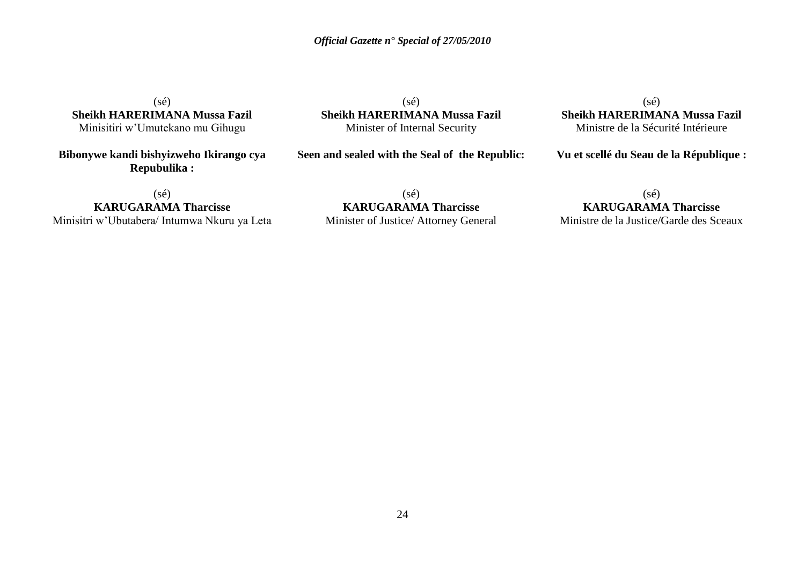$(sé)$ **Sheikh HARERIMANA Mussa Fazil** Minisitiri w'Umutekano mu Gihugu

**Bibonywe kandi bishyizweho Ikirango cya Repubulika :**

(sé) **Sheikh HARERIMANA Mussa Fazil** Minister of Internal Security

**Seen and sealed with the Seal of the Republic:**

 $(sé)$ **Sheikh HARERIMANA Mussa Fazil** Ministre de la Sécurité Intérieure

**Vu et scellé du Seau de la République :**

 $(sé)$ **KARUGARAMA Tharcisse** Minisitri w'Ubutabera/ Intumwa Nkuru ya Leta

(sé) **KARUGARAMA Tharcisse** Minister of Justice/ Attorney General

(sé) **KARUGARAMA Tharcisse** Ministre de la Justice/Garde des Sceaux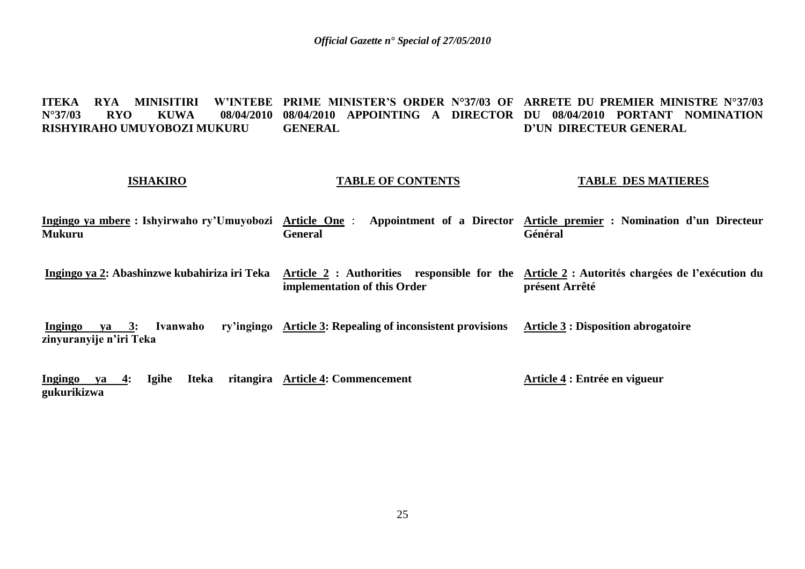**ITEKA RYA MINISITIRI N°37/03 RYO KUWA 08/04/2010 08/04/2010 APPOINTING A DIRECTOR DU 08/04/2010 PORTANT NOMINATION RISHYIRAHO UMUYOBOZI MUKURU PRIME MINISTER'S ORDER N°37/03 OF ARRETE DU PREMIER MINISTRE N°37/03 GENERAL D'UN DIRECTEUR GENERAL**

#### **ISHAKIRO**

#### **TABLE OF CONTENTS**

#### **TABLE DES MATIERES**

**Ingingo ya mbere : Ishyirwaho ry'Umuyobozi Article One** : **Appointment of a Director Article premier : Nomination d'un Directeur Mukuru General Général**

**Ingingo ya 2: Abashinzwe kubahiriza iri Teka Article 2 : Authorities responsible for the Article 2 : Autorités chargées de l'exécution du implementation of this Order présent Arrêté**

**Ingingo ya 3: Ivanwaho zinyuranyije n'iri Teka Article 3: Repealing of inconsistent provisions Article 3 : Disposition abrogatoire**

**Ingingo ya 4: Igihe Iteka ritangira Article 4: Commencement gukurikizwa Article 4 : Entrée en vigueur**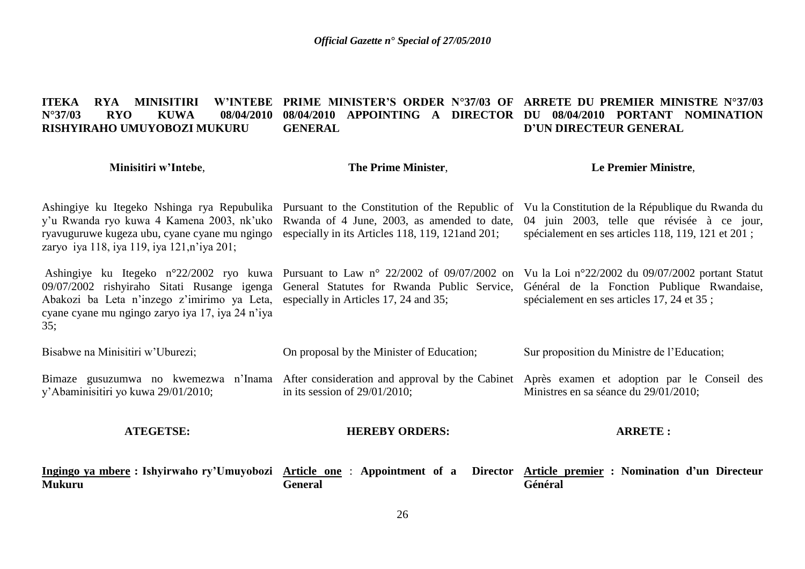#### **ITEKA RYA MINISITIRI W'INTEBE PRIME MINISTER'S ORDER N°37/03 OF ARRETE DU PREMIER MINISTRE N°37/03 N°37/03 RYO KUWA 08/04/2010 08/04/2010 APPOINTING A DIRECTOR DU 08/04/2010 PORTANT NOMINATION RISHYIRAHO UMUYOBOZI MUKURU GENERAL D'UN DIRECTEUR GENERAL**

| Minisitiri w'Intebe,                                                                                                                         | The Prime Minister,                                                                                                      | <b>Le Premier Ministre,</b>                                                                                                                                                                                                                                                                                              |
|----------------------------------------------------------------------------------------------------------------------------------------------|--------------------------------------------------------------------------------------------------------------------------|--------------------------------------------------------------------------------------------------------------------------------------------------------------------------------------------------------------------------------------------------------------------------------------------------------------------------|
| y'u Rwanda ryo kuwa 4 Kamena 2003, nk'uko<br>ryavuguruwe kugeza ubu, cyane cyane mu ngingo<br>zaryo iya 118, iya 119, iya 121, n'iya 201;    | Rwanda of 4 June, 2003, as amended to date,<br>especially in its Articles 118, 119, 121 and 201;                         | Ashingiye ku Itegeko Nshinga rya Repubulika Pursuant to the Constitution of the Republic of Vu la Constitution de la République du Rwanda du<br>04 juin 2003, telle que révisée à ce jour,<br>spécialement en ses articles 118, 119, 121 et 201;                                                                         |
| Abakozi ba Leta n'inzego z'imirimo ya Leta, especially in Articles 17, 24 and 35;<br>cyane cyane mu ngingo zaryo iya 17, iya 24 n'iya<br>35; |                                                                                                                          | Ashingiye ku Itegeko n°22/2002 ryo kuwa Pursuant to Law n° 22/2002 of 09/07/2002 on Vu la Loi n°22/2002 du 09/07/2002 portant Statut<br>09/07/2002 rishyiraho Sitati Rusange igenga General Statutes for Rwanda Public Service, Général de la Fonction Publique Rwandaise,<br>spécialement en ses articles 17, 24 et 35; |
| Bisabwe na Minisitiri w'Uburezi;                                                                                                             | On proposal by the Minister of Education;                                                                                | Sur proposition du Ministre de l'Education;                                                                                                                                                                                                                                                                              |
| y'Abaminisitiri yo kuwa 29/01/2010;                                                                                                          | Bimaze gusuzumwa no kwemezwa n'Inama After consideration and approval by the Cabinet<br>in its session of $29/01/2010$ ; | Après examen et adoption par le Conseil des<br>Ministres en sa séance du 29/01/2010;                                                                                                                                                                                                                                     |
| <b>ATEGETSE:</b>                                                                                                                             | <b>HEREBY ORDERS:</b>                                                                                                    | <b>ARRETE:</b>                                                                                                                                                                                                                                                                                                           |
| <u>Ingingo ya mbere</u> : Ishyirwaho ry'Umuyobozi Article one: Appointment of a<br><b>Mukuru</b>                                             | <b>Director</b><br><b>General</b>                                                                                        | <b>Article premier : Nomination d'un Directeur</b><br>Général                                                                                                                                                                                                                                                            |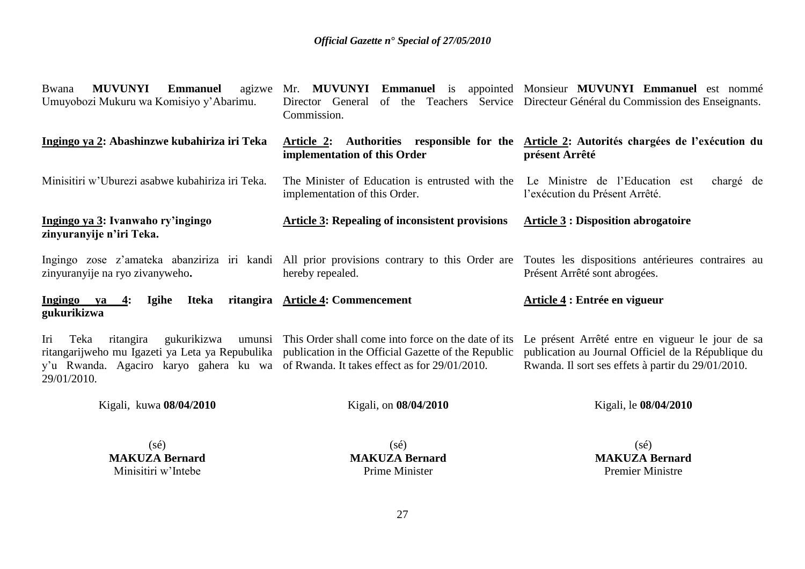| <b>MUVUNYI</b><br><b>Emmanuel</b><br>Bwana<br>Umuyobozi Mukuru wa Komisiyo y'Abarimu.                                                          | of the Teachers<br>Director General<br>Commission.                                                                                                                | agizwe Mr. MUVUNYI Emmanuel is appointed Monsieur MUVUNYI Emmanuel est nommé<br>Service Directeur Général du Commission des Enseignants.                                       |
|------------------------------------------------------------------------------------------------------------------------------------------------|-------------------------------------------------------------------------------------------------------------------------------------------------------------------|--------------------------------------------------------------------------------------------------------------------------------------------------------------------------------|
| Ingingo ya 2: Abashinzwe kubahiriza iri Teka                                                                                                   | Article 2:<br>implementation of this Order                                                                                                                        | Authorities responsible for the Article 2: Autorités chargées de l'exécution du<br>présent Arrêté                                                                              |
| Minisitiri w'Uburezi asabwe kubahiriza iri Teka.                                                                                               | The Minister of Education is entrusted with the<br>implementation of this Order.                                                                                  | Le Ministre de l'Education est<br>chargé de<br>l'exécution du Présent Arrêté.                                                                                                  |
| Ingingo ya 3: Ivanwaho ry'ingingo<br>zinyuranyije n'iri Teka.                                                                                  | <b>Article 3: Repealing of inconsistent provisions</b>                                                                                                            | <b>Article 3: Disposition abrogatoire</b>                                                                                                                                      |
| zinyuranyije na ryo zivanyweho.                                                                                                                | hereby repealed.                                                                                                                                                  | Ingingo zose z'amateka abanziriza iri kandi All prior provisions contrary to this Order are Toutes les dispositions antérieures contraires au<br>Présent Arrêté sont abrogées. |
| <b>Iteka</b><br>Ingingo<br><b>Igihe</b><br>ya<br>4:<br>gukurikizwa                                                                             | ritangira Article 4: Commencement                                                                                                                                 | Article 4 : Entrée en vigueur                                                                                                                                                  |
| Teka<br>ritangira<br>gukurikizwa<br>Iri<br>y'u Rwanda. Agaciro karyo gahera ku wa of Rwanda. It takes effect as for 29/01/2010.<br>29/01/2010. | umunsi This Order shall come into force on the date of its<br>ritangarijweho mu Igazeti ya Leta ya Repubulika publication in the Official Gazette of the Republic | Le présent Arrêté entre en vigueur le jour de sa<br>publication au Journal Officiel de la République du<br>Rwanda. Il sort ses effets à partir du 29/01/2010.                  |
| Kigali, kuwa 08/04/2010                                                                                                                        | Kigali, on 08/04/2010                                                                                                                                             | Kigali, le 08/04/2010                                                                                                                                                          |
| $(s\acute{e})$                                                                                                                                 | $(s\acute{e})$                                                                                                                                                    | $(s\acute{e})$                                                                                                                                                                 |

**MAKUZA Bernard** Prime Minister

**MAKUZA Bernard** Premier Ministre

**MAKUZA Bernard** Minisitiri w'Intebe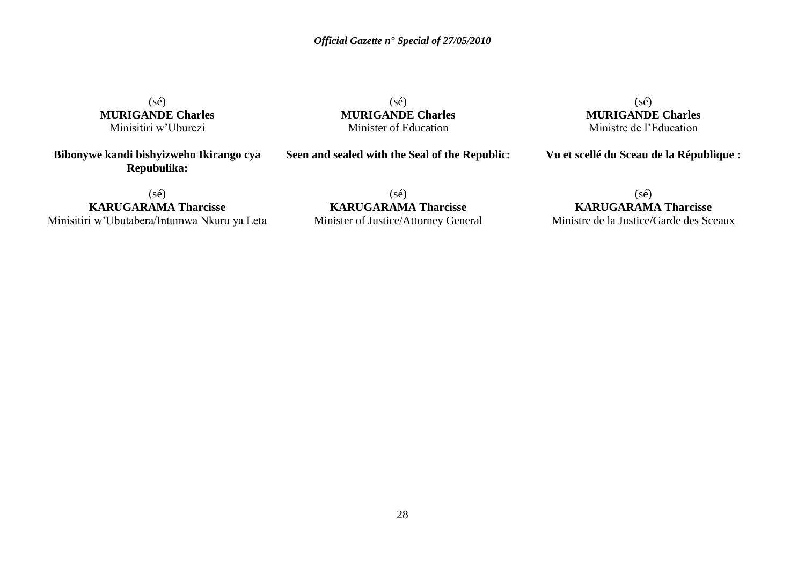$(s\acute{e})$ **MURIGANDE Charles** Minisitiri w'Uburezi

**Bibonywe kandi bishyizweho Ikirango cya Repubulika:**

(sé) **MURIGANDE Charles** Minister of Education

**Seen and sealed with the Seal of the Republic:**

(sé) **MURIGANDE Charles** Ministre de l'Education

**Vu et scellé du Sceau de la République :**

 $(sé)$ 

**KARUGARAMA Tharcisse** Minisitiri w'Ubutabera/Intumwa Nkuru ya Leta

(sé) **KARUGARAMA Tharcisse** Minister of Justice/Attorney General

 $(s\acute{e})$ **KARUGARAMA Tharcisse** Ministre de la Justice/Garde des Sceaux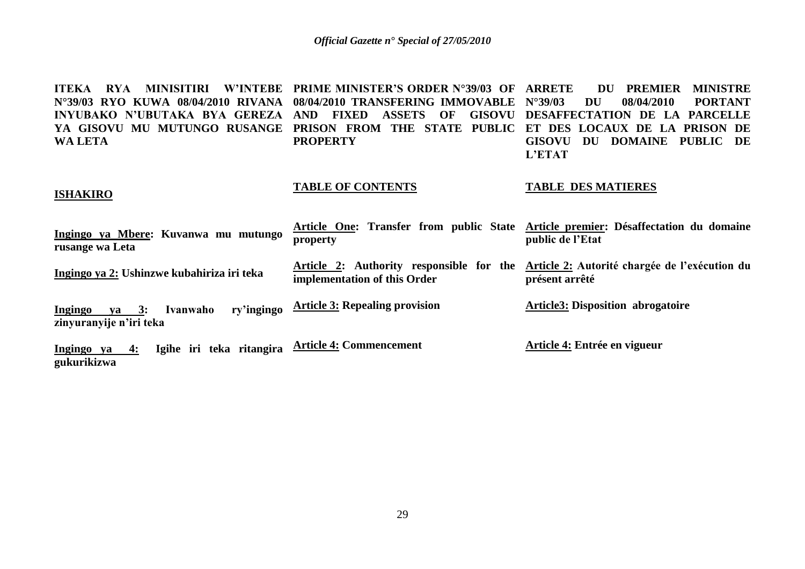**ITEKA RYA MINISITIRI W'INTEBE PRIME MINISTER'S ORDER N°39/03 OF N°39/03 RYO KUWA 08/04/2010 RIVANA 08/04/2010 TRANSFERING IMMOVABLE INYUBAKO N'UBUTAKA BYA GEREZA AND FIXED ASSETS OF GISOVU DESAFFECTATION DE LA PARCELLE YA GISOVU MU MUTUNGO RUSANGE PRISON FROM THE STATE PUBLIC ET DES LOCAUX DE LA PRISON DE WA LETA PROPERTY** *ARREMIER MINISTRE* **N°39/03 DU 08/04/2010 PORTANT GISOVU DU DOMAINE PUBLIC DE L'ETAT**

#### **ISHAKIRO**

#### **TABLE OF CONTENTS**

#### **TABLE DES MATIERES**

| Ingingo ya Mbere: Kuvanwa mu mutungo<br>rusange wa Leta                      | property                              | Article One: Transfer from public State Article premier: Désaffectation du domaine<br>public de l'Etat   |
|------------------------------------------------------------------------------|---------------------------------------|----------------------------------------------------------------------------------------------------------|
| Ingingo ya 2: Ushinzwe kubahiriza iri teka                                   | implementation of this Order          | Article 2: Authority responsible for the Article 2: Autorité chargée de l'exécution du<br>présent arrêté |
| ry'ingingo<br>Ivanwaho<br><b>Ingingo</b><br>va 3:<br>zinyuranyije n'iri teka | <b>Article 3: Repealing provision</b> | <b>Article3: Disposition abrogatoire</b>                                                                 |
| Igihe iri teka ritangira<br><u>Ingingo</u> ya 4:<br>gukurikizwa              | <b>Article 4: Commencement</b>        | Article 4: Entrée en vigueur                                                                             |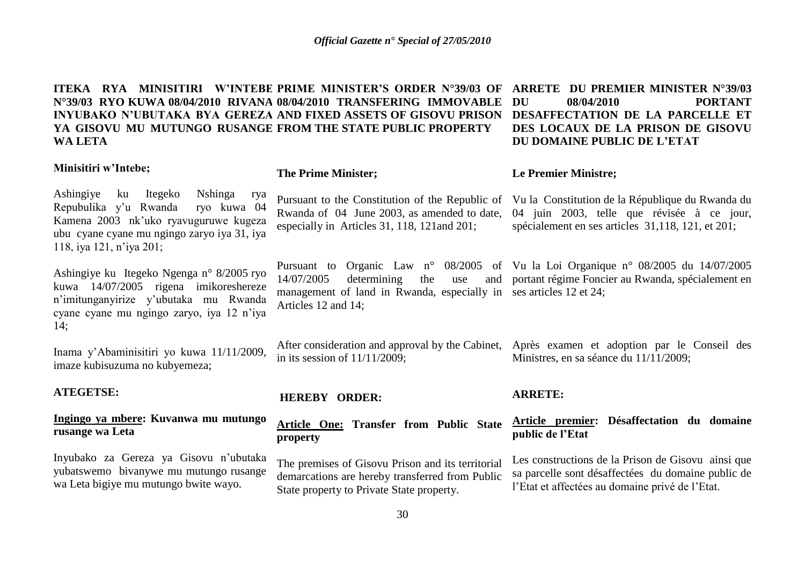**ITEKA RYA MINISITIRI W'INTEBE PRIME MINISTER'S ORDER N°39/03 OF N°39/03 RYO KUWA 08/04/2010 RIVANA 08/04/2010 TRANSFERING IMMOVABLE INYUBAKO N'UBUTAKA BYA GEREZA AND FIXED ASSETS OF GISOVU PRISON YA GISOVU MU MUTUNGO RUSANGE FROM THE STATE PUBLIC PROPERTY WA LETA ARRETE DU PREMIER MINISTER N°39/03 DU 08/04/2010 PORTANT DU DOMAINE PUBLIC DE L'ETAT**

#### **Minisitiri w'Intebe;**

#### **The Prime Minister;**

Ashingiye ku Itegeko Nshinga rya Repubulika y'u Rwanda ryo kuwa 04 Kamena 2003 nk'uko ryavuguruwe kugeza ubu cyane cyane mu ngingo zaryo iya 31, iya 118, iya 121, n'iya 201;

Ashingiye ku Itegeko Ngenga n° 8/2005 ryo kuwa 14/07/2005 rigena imikoreshereze n'imitunganyirize y'ubutaka mu Rwanda cyane cyane mu ngingo zaryo, iya 12 n'iya 14;

Inama y'Abaminisitiri yo kuwa 11/11/2009, imaze kubisuzuma no kubyemeza;

#### **ATEGETSE:**

### **Ingingo ya mbere: Kuvanwa mu mutungo rusange wa Leta**

Inyubako za Gereza ya Gisovu n'ubutaka yubatswemo bivanywe mu mutungo rusange wa Leta bigiye mu mutungo bwite wayo.

Rwanda of 04 June 2003, as amended to date, especially in Articles 31, 118, 121and 201;

management of land in Rwanda, especially in ses articles 12 et 24; Articles 12 and 14;

After consideration and approval by the Cabinet, in its session of 11/11/2009;

#### **HEREBY ORDER:**

#### **Article One: Transfer from Public State property**

The premises of Gisovu Prison and its territorial demarcations are hereby transferred from Public State property to Private State property.

#### **ARRETE:**

#### **Article premier: Désaffectation du domaine public de l'Etat**

Les constructions de la Prison de Gisovu ainsi que sa parcelle sont désaffectées du domaine public de l'Etat et affectées au domaine privé de l'Etat.

**DESAFFECTATION DE LA PARCELLE ET DES LOCAUX DE LA PRISON DE GISOVU** 

#### **Le Premier Ministre;**

Pursuant to the Constitution of the Republic of Vu la Constitution de la République du Rwanda du 04 juin 2003, telle que révisée à ce jour, spécialement en ses articles 31,118, 121, et 201;

Pursuant to Organic Law n° 08/2005 of Vu la Loi Organique n° 08/2005 du 14/07/2005 14/07/2005 determining the use and portant régime Foncier au Rwanda, spécialement en

> Après examen et adoption par le Conseil des Ministres, en sa séance du 11/11/2009;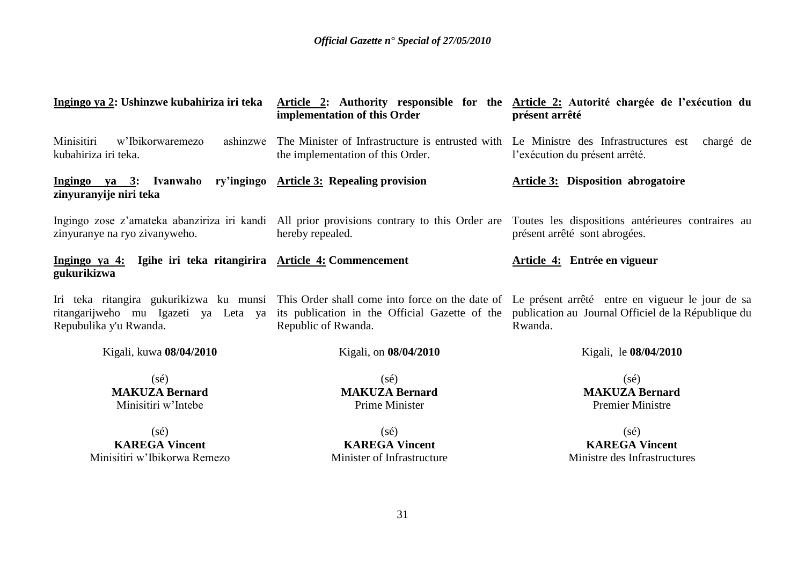| Ingingo ya 2: Ushinzwe kubahiriza iri teka                                                 | implementation of this Order                                                                                              | Article 2: Authority responsible for the Article 2: Autorité chargée de l'exécution du<br>présent arrêté                                                                                                                                                  |
|--------------------------------------------------------------------------------------------|---------------------------------------------------------------------------------------------------------------------------|-----------------------------------------------------------------------------------------------------------------------------------------------------------------------------------------------------------------------------------------------------------|
| Minisitiri<br>ashinzwe<br>w'Ibikorwaremezo<br>kubahiriza iri teka.                         | The Minister of Infrastructure is entrusted with Le Ministre des Infrastructures est<br>the implementation of this Order. | chargé de<br>l'exécution du présent arrêté.                                                                                                                                                                                                               |
| Ingingo ya 3: Ivanwaho ry'ingingo Article 3: Repealing provision<br>zinyuranyije niri teka |                                                                                                                           | <b>Article 3:</b> Disposition abrogatoire                                                                                                                                                                                                                 |
| zinyuranye na ryo zivanyweho.                                                              | hereby repealed.                                                                                                          | Ingingo zose z'amateka abanziriza iri kandi All prior provisions contrary to this Order are Toutes les dispositions antérieures contraires au<br>présent arrêté sont abrogées.                                                                            |
| Ingingo ya 4: Igihe iri teka ritangirira Article 4: Commencement<br>gukurikizwa            |                                                                                                                           | Article 4: Entrée en vigueur                                                                                                                                                                                                                              |
| ritangarijweho mu Igazeti ya Leta ya<br>Repubulika y'u Rwanda.                             | Republic of Rwanda.                                                                                                       | Iri teka ritangira gukurikizwa ku munsi This Order shall come into force on the date of Le présent arrêté entre en vigueur le jour de sa<br>its publication in the Official Gazette of the publication au Journal Officiel de la République du<br>Rwanda. |
| Kigali, kuwa 08/04/2010                                                                    | Kigali, on 08/04/2010                                                                                                     | Kigali, le 08/04/2010                                                                                                                                                                                                                                     |
| $(s\acute{e})$<br><b>MAKUZA Bernard</b><br>Minisitiri w'Intebe                             | $(s\acute{e})$<br><b>MAKUZA Bernard</b><br>Prime Minister                                                                 | $(s\acute{e})$<br><b>MAKUZA Bernard</b><br><b>Premier Ministre</b>                                                                                                                                                                                        |
| $(s\acute{e})$<br><b>KAREGA Vincent</b><br>Minisitiri w'Ibikorwa Remezo                    | $(s\acute{e})$<br><b>KAREGA Vincent</b><br>Minister of Infrastructure                                                     | $(s\acute{e})$<br><b>KAREGA Vincent</b><br>Ministre des Infrastructures                                                                                                                                                                                   |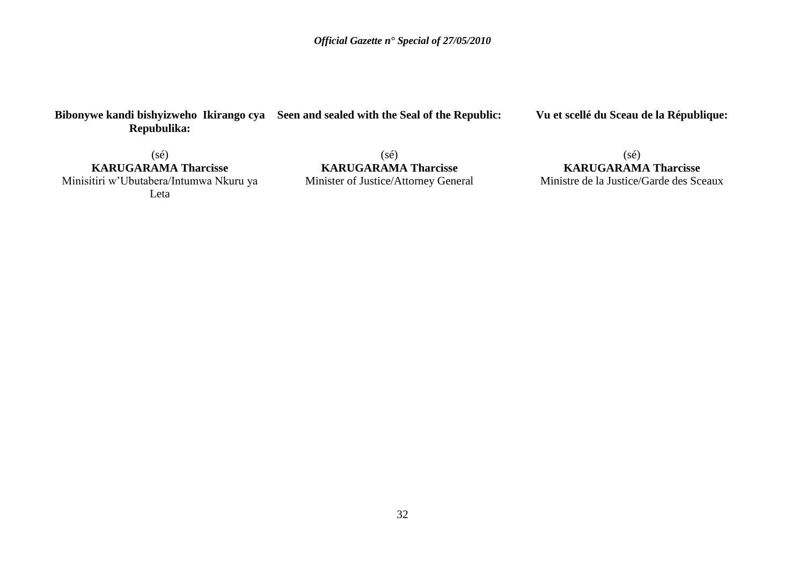### **Bibonywe kandi bishyizweho Ikirango cya Seen and sealed with the Seal of the Republic: Repubulika:**

**Vu et scellé du Sceau de la République:**

 $(s\acute{e})$ **KARUGARAMA Tharcisse** Minisitiri w'Ubutabera/Intumwa Nkuru ya Leta

(sé) **KARUGARAMA Tharcisse** Minister of Justice/Attorney General

(sé) **KARUGARAMA Tharcisse** Ministre de la Justice/Garde des Sceaux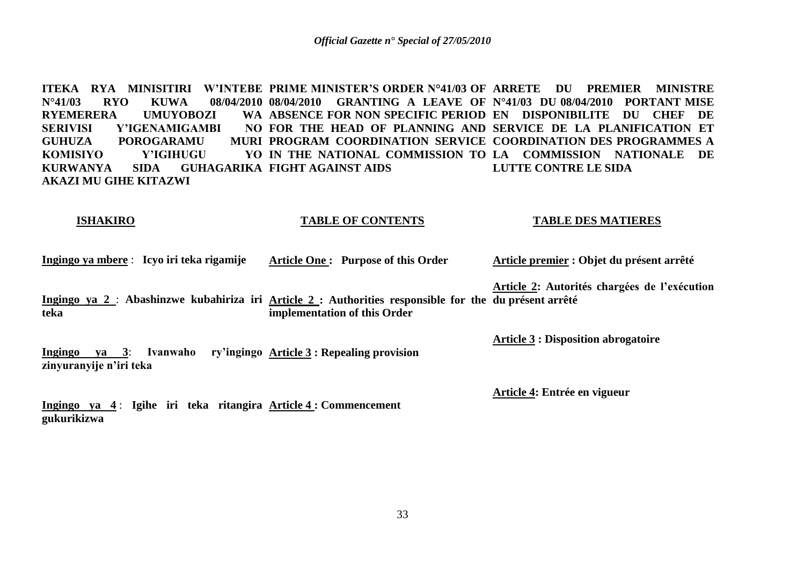ITEKA RYA MINISITIRI W'INTEBE PRIME MINISTER'S ORDER N°41/03 OF ARRETE DU PREMIER MINISTRE **N°41/03 RYO KUWA 08/04/2010 08/04/2010 GRANTING A LEAVE OF N°41/03 DU 08/04/2010 PORTANT MISE RYEMERERA UMUYOBOZI SERIVISI Y'IGENAMIGAMBI GUHUZA POROGARAMU** KOMISIYO Y'IGIHUGU **KURWANYA SIDA GUHAGARIKA FIGHT AGAINST AIDS AKAZI MU GIHE KITAZWI ABSENCE FOR NON SPECIFIC PERIOD EN DISPONIBILITE DU CHEF DE FOR THE HEAD OF PLANNING AND SERVICE DE LA PLANIFICATION ET PROGRAM COORDINATION SERVICE COORDINATION DES PROGRAMMES A IN THE NATIONAL COMMISSION TO LA COMMISSION NATIONALE DE LUTTE CONTRE LE SIDA**

#### **ISHAKIRO TABLE OF CONTENTS TABLE DES MATIERES**

**Ingingo ya mbere** : **Icyo iri teka rigamije Article One : Purpose of this Order Article premier : Objet du présent arrêté**

**Ingingo ya 2** : **Abashinzwe kubahiriza iri Article 2 : Authorities responsible for the du présent arrêté teka implementation of this Order Article 2: Autorités chargées de l'exécution** 

**Ingingo ya 3**: **Ivanwaho ry'ingingo Article 3 : Repealing provision zinyuranyije n'iri teka**

**Ingingo ya 4** : **Igihe iri teka ritangira Article 4 : Commencement gukurikizwa**

**Article 3 : Disposition abrogatoire**

**Article 4: Entrée en vigueur**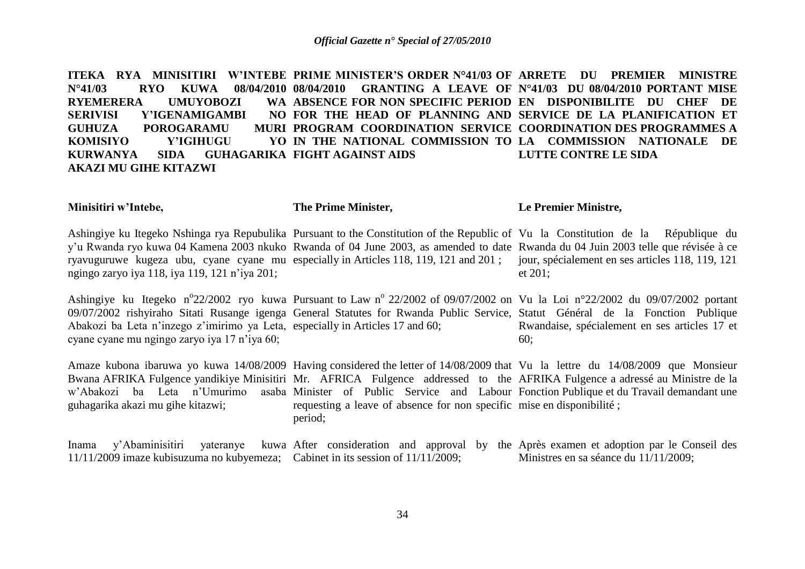**ITEKA RYA MINISITIRI W'INTEBE PRIME MINISTER'S ORDER N°41/03 OF ARRETE DU PREMIER MINISTRE N°41/03 RYO KUWA 08/04/2010 08/04/2010 GRANTING A LEAVE OF N°41/03 DU 08/04/2010 PORTANT MISE RYEMERERA UMUYOBOZI SERIVISI Y'IGENAMIGAMBI GUHUZA POROGARAMU** KOMISIYO Y'IGIHUGU **KURWANYA SIDA GUHAGARIKA FIGHT AGAINST AIDS AKAZI MU GIHE KITAZWI ABSENCE FOR NON SPECIFIC PERIOD EN DISPONIBILITE DU CHEF DE FOR THE HEAD OF PLANNING AND SERVICE DE LA PLANIFICATION ET PROGRAM COORDINATION SERVICE COORDINATION DES PROGRAMMES A IN THE NATIONAL COMMISSION TO LA COMMISSION NATIONALE DE LUTTE CONTRE LE SIDA**

| Minisitiri w'Intebe,                                                                                                          | The Prime Minister,                                                              | Le Premier Ministre,                                                                                                                                                                                                                                                                                                                                                                                                           |
|-------------------------------------------------------------------------------------------------------------------------------|----------------------------------------------------------------------------------|--------------------------------------------------------------------------------------------------------------------------------------------------------------------------------------------------------------------------------------------------------------------------------------------------------------------------------------------------------------------------------------------------------------------------------|
| ngingo zaryo iya 118, iya 119, 121 n'iya 201;                                                                                 |                                                                                  | Ashingiye ku Itegeko Nshinga rya Repubulika Pursuant to the Constitution of the Republic of Vu la Constitution de la République du<br>y'u Rwanda ryo kuwa 04 Kamena 2003 nkuko Rwanda of 04 June 2003, as amended to date Rwanda du 04 Juin 2003 telle que révisée à ce<br>ryavuguruwe kugeza ubu, cyane cyane mu especially in Articles 118, 119, 121 and 201; jour, spécialement en ses articles 118, 119, 121<br>et $201$ ; |
| Abakozi ba Leta n'inzego z'imirimo ya Leta, especially in Articles 17 and 60;<br>cyane cyane mu ngingo zaryo iya 17 n'iya 60; |                                                                                  | Ashingiye ku Itegeko n°22/2002 ryo kuwa Pursuant to Law n° 22/2002 of 09/07/2002 on Vu la Loi n°22/2002 du 09/07/2002 portant<br>09/07/2002 rishyiraho Sitati Rusange igenga General Statutes for Rwanda Public Service, Statut Général de la Fonction Publique<br>Rwandaise, spécialement en ses articles 17 et<br>60;                                                                                                        |
| guhagarika akazi mu gihe kitazwi;                                                                                             | requesting a leave of absence for non specific mise en disponibilité;<br>period; | Amaze kubona ibaruwa yo kuwa 14/08/2009 Having considered the letter of 14/08/2009 that Vu la lettre du 14/08/2009 que Monsieur<br>Bwana AFRIKA Fulgence yandikiye Minisitiri Mr. AFRICA Fulgence addressed to the AFRIKA Fulgence a adressé au Ministre de la<br>w'Abakozi ba Leta n'Umurimo asaba Minister of Public Service and Labour Fonction Publique et du Travail demandant une                                        |
| Inama<br>11/11/2009 imaze kubisuzuma no kubyemeza; Cabinet in its session of 11/11/2009;                                      |                                                                                  | y'Abaminisitiri yateranye kuwa After consideration and approval by the Après examen et adoption par le Conseil des<br>Ministres en sa séance du 11/11/2009;                                                                                                                                                                                                                                                                    |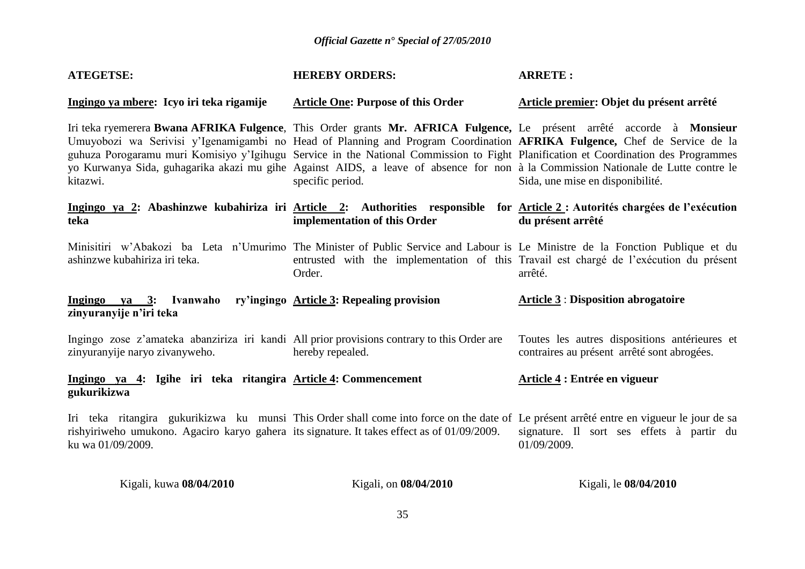| <b>ATEGETSE:</b>                                                                                                              | <b>HEREBY ORDERS:</b>                                                                                                                                                                                                                                                                                                                                                                                                                                                                                                                           | <b>ARRETE:</b>                                                                                    |
|-------------------------------------------------------------------------------------------------------------------------------|-------------------------------------------------------------------------------------------------------------------------------------------------------------------------------------------------------------------------------------------------------------------------------------------------------------------------------------------------------------------------------------------------------------------------------------------------------------------------------------------------------------------------------------------------|---------------------------------------------------------------------------------------------------|
| Ingingo ya mbere: Icyo iri teka rigamije                                                                                      | <b>Article One: Purpose of this Order</b>                                                                                                                                                                                                                                                                                                                                                                                                                                                                                                       | Article premier: Objet du présent arrêté                                                          |
| kitazwi.                                                                                                                      | Iri teka ryemerera Bwana AFRIKA Fulgence, This Order grants Mr. AFRICA Fulgence, Le présent arrêté accorde à Monsieur<br>Umuyobozi wa Serivisi y'Igenamigambi no Head of Planning and Program Coordination AFRIKA Fulgence, Chef de Service de la<br>guhuza Porogaramu muri Komisiyo y'Igihugu Service in the National Commission to Fight Planification et Coordination des Programmes<br>yo Kurwanya Sida, guhagarika akazi mu gihe Against AIDS, a leave of absence for non à la Commission Nationale de Lutte contre le<br>specific period. | Sida, une mise en disponibilité.                                                                  |
| teka                                                                                                                          | Ingingo ya 2: Abashinzwe kubahiriza iri Article 2: Authorities responsible for Article 2: Autorités chargées de l'exécution<br>implementation of this Order                                                                                                                                                                                                                                                                                                                                                                                     | du présent arrêté                                                                                 |
| ashinzwe kubahiriza iri teka.                                                                                                 | Minisitiri w'Abakozi ba Leta n'Umurimo The Minister of Public Service and Labour is Le Ministre de la Fonction Publique et du<br>Order.                                                                                                                                                                                                                                                                                                                                                                                                         | entrusted with the implementation of this Travail est chargé de l'exécution du présent<br>arrêté. |
| Ingingo ya 3: Ivanwaho<br>zinyuranyije n'iri teka                                                                             | ry'ingingo Article 3: Repealing provision                                                                                                                                                                                                                                                                                                                                                                                                                                                                                                       | <b>Article 3: Disposition abrogatoire</b>                                                         |
| Ingingo zose z'amateka abanziriza iri kandi All prior provisions contrary to this Order are<br>zinyuranyije naryo zivanyweho. | hereby repealed.                                                                                                                                                                                                                                                                                                                                                                                                                                                                                                                                | Toutes les autres dispositions antérieures et<br>contraires au présent arrêté sont abrogées.      |
| Ingingo ya 4: Igihe iri teka ritangira Article 4: Commencement<br>gukurikizwa                                                 |                                                                                                                                                                                                                                                                                                                                                                                                                                                                                                                                                 | Article 4 : Entrée en vigueur                                                                     |
| rishyiriweho umukono. Agaciro karyo gahera its signature. It takes effect as of 01/09/2009.<br>ku wa 01/09/2009.              | Iri teka ritangira gukurikizwa ku munsi This Order shall come into force on the date of Le présent arrêté entre en vigueur le jour de sa                                                                                                                                                                                                                                                                                                                                                                                                        | signature. Il sort ses effets à partir du<br>01/09/2009.                                          |
| Kigali, kuwa 08/04/2010                                                                                                       | Kigali, on 08/04/2010                                                                                                                                                                                                                                                                                                                                                                                                                                                                                                                           | Kigali, le 08/04/2010                                                                             |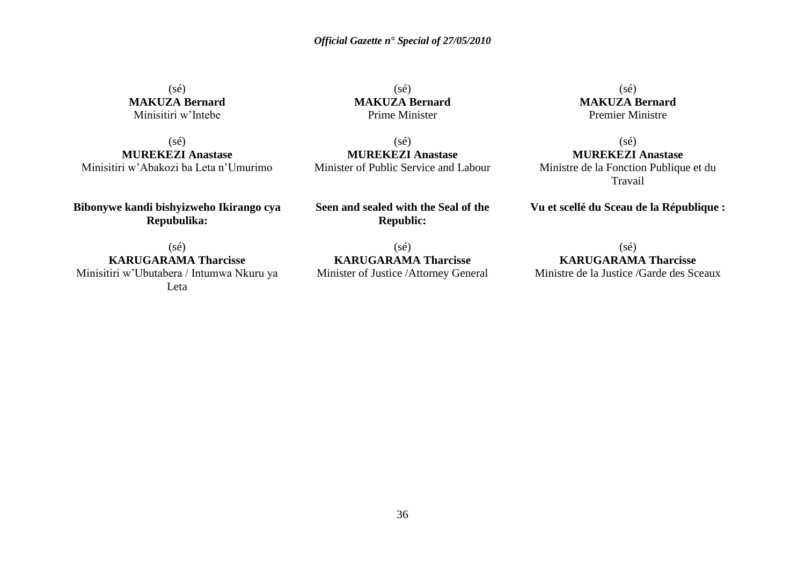$(s\acute{e})$ **MAKUZA Bernard** Minisitiri w'Intebe

(sé) **MUREKEZI Anastase** Minisitiri w'Abakozi ba Leta n'Umurimo

**Bibonywe kandi bishyizweho Ikirango cya Repubulika:**

 $(s\acute{e})$ **MAKUZA Bernard** Prime Minister

 $(sé)$ **MUREKEZI Anastase** Minister of Public Service and Labour

**Seen and sealed with the Seal of the Republic:**

 $(s\acute{e})$ **KARUGARAMA Tharcisse** Minister of Justice /Attorney General

(sé) **MAKUZA Bernard** Premier Ministre

 $(sé)$ **MUREKEZI Anastase** Ministre de la Fonction Publique et du Travail

**Vu et scellé du Sceau de la République :**

 $(sé)$ **KARUGARAMA Tharcisse** Ministre de la Justice /Garde des Sceaux

 $(s\acute{e})$ **KARUGARAMA Tharcisse** Minisitiri w'Ubutabera / Intumwa Nkuru ya

Leta

36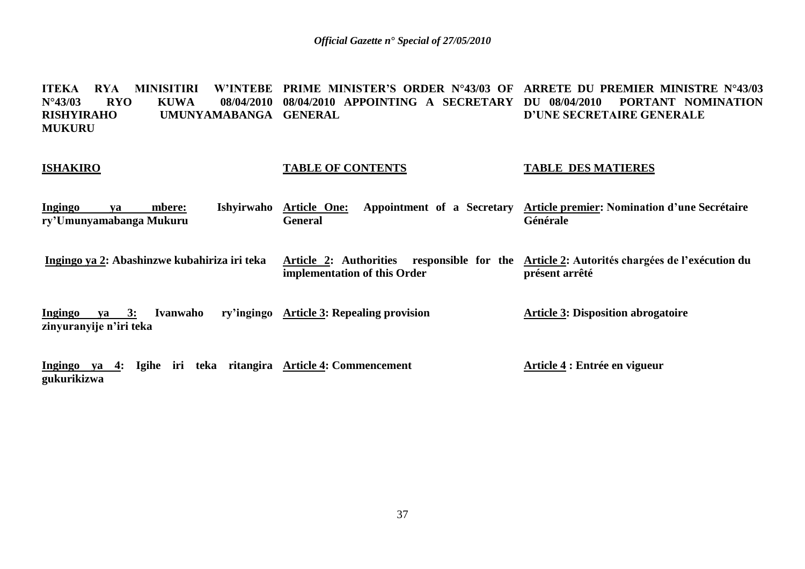**ITEKA RYA MINISITIRI<br>N°43/03 RYO KUWA N°43/03 RYO KUWA 08/04/2010 08/04/2010 APPOINTING A SECRETARY RISHYIRAHO UMUNYAMABANGA GENERAL MUKURU PRIME MINISTER'S ORDER N°43/03 OF ARRETE DU PREMIER MINISTRE N°43/03 DU 08/04/2010 PORTANT NOMINATION D'UNE SECRETAIRE GENERALE**

#### **ISHAKIRO**

#### **TABLE OF CONTENTS**

#### **TABLE DES MATIERES**

**Ingingo ya mbere: Ishyirwaho ry'Umunyamabanga Mukuru**  Article One: Appointment of a Secretary Article premier: Nomination d'une Secrétaire **General Générale**

**Ingingo ya 2: Abashinzwe kubahiriza iri teka Article 2: Authorities responsible for the Article 2: Autorités chargées de l'exécution du implementation of this Order présent arrêté**

**Ingingo ya 3: Ivanwaho zinyuranyije n'iri teka Article 3: Repealing provision Article 3: Disposition abrogatoire**

**Ingingo ya 4: Igihe iri teka ritangira Article 4: Commencement gukurikizwa Article 4 : Entrée en vigueur**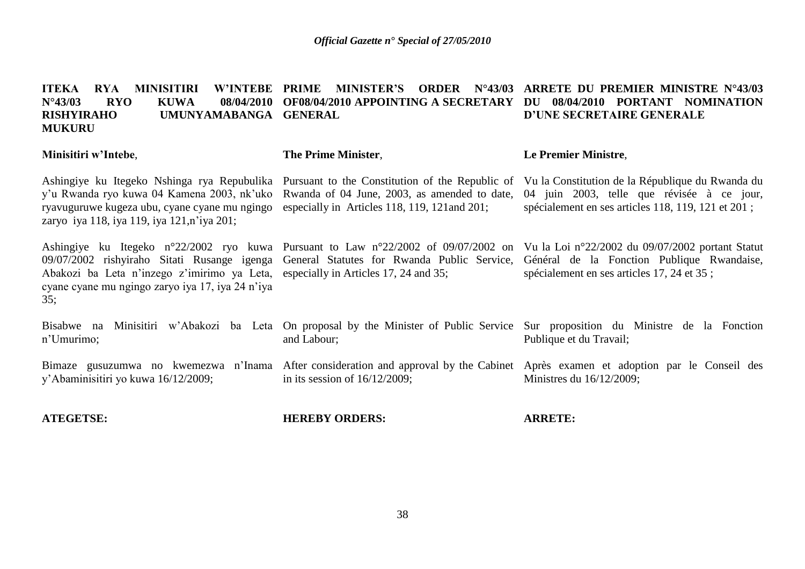#### **ITEKA RYA MINISITIRI N°43/03 RYO KUWA 08/04/2010 OF08/04/2010 APPOINTING A SECRETARY DU 08/04/2010 PORTANT NOMINATION RISHYIRAHO UMUNYAMABANGA GENERAL MUKURU PRIME MINISTER'S ORDER N°43/03 ARRETE DU PREMIER MINISTRE N°43/03 D'UNE SECRETAIRE GENERALE**

#### **Minisitiri w'Intebe**,

#### **The Prime Minister**,

#### **Le Premier Ministre**,

Ashingiye ku Itegeko Nshinga rya Repubulika Pursuant to the Constitution of the Republic of y'u Rwanda ryo kuwa 04 Kamena 2003, nk'uko Rwanda of 04 June, 2003, as amended to date, ryavuguruwe kugeza ubu, cyane cyane mu ngingo especially in Articles 118, 119, 121and 201; zaryo iya 118, iya 119, iya 121,n'iya 201;

Ashingiye ku Itegeko n°22/2002 ryo kuwa Pursuant to Law n°22/2002 of 09/07/2002 on 09/07/2002 rishyiraho Sitati Rusange igenga General Statutes for Rwanda Public Service, Abakozi ba Leta n'inzego z'imirimo ya Leta, especially in Articles 17, 24 and 35; cyane cyane mu ngingo zaryo iya 17, iya 24 n'iya 35;

n'Umurimo;

y'Abaminisitiri yo kuwa 16/12/2009;

**ATEGETSE:**

Vu la Constitution de la République du Rwanda du 04 juin 2003, telle que révisée à ce jour, spécialement en ses articles 118, 119, 121 et 201 ;

Vu la Loi n°22/2002 du 09/07/2002 portant Statut Général de la Fonction Publique Rwandaise, spécialement en ses articles 17, 24 et 35 ;

Bisabwe na Minisitiri w'Abakozi ba Leta On-proposal-by-the-Minister-of-Public-Service Sur-proposition du Ministre de la Fonction Publique et du Travail;

Bimaze gusuzumwa no kwemezwa n'Inama After consideration and approval by the Cabinet Après examen et adoption par le Conseil des in its session of 16/12/2009; Ministres du 16/12/2009;

**HEREBY ORDERS:**

and Labour;

**ARRETE:**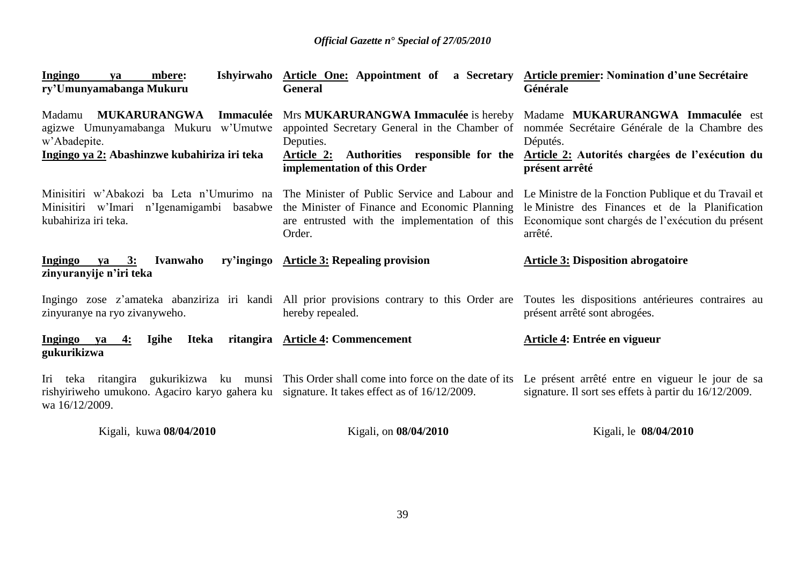| Ishyirwaho<br>mbere:<br><b>Ingingo</b><br>ya<br>ry'Umunyamabanga Mukuru                                                                            | Article One: Appointment of a Secretary Article premier: Nomination d'une Secrétaire<br><b>General</b>                                   | Générale                                                                                                                                                                                                                                                        |
|----------------------------------------------------------------------------------------------------------------------------------------------------|------------------------------------------------------------------------------------------------------------------------------------------|-----------------------------------------------------------------------------------------------------------------------------------------------------------------------------------------------------------------------------------------------------------------|
| <b>MUKARURANGWA</b><br>Immaculée<br>Madamu<br>agizwe Umunyamabanga Mukuru w'Umutwe<br>w'Abadepite.<br>Ingingo ya 2: Abashinzwe kubahiriza iri teka | appointed Secretary General in the Chamber of<br>Deputies.<br>Article 2: Authorities responsible for the<br>implementation of this Order | Mrs MUKARURANGWA Immaculée is hereby Madame MUKARURANGWA Immaculée est<br>nommée Secrétaire Générale de la Chambre des<br>Députés.<br>Article 2: Autorités chargées de l'exécution du<br>présent arrêté                                                         |
| Minisitiri w'Imari n'Igenamigambi basabwe<br>kubahiriza iri teka.                                                                                  | the Minister of Finance and Economic Planning<br>are entrusted with the implementation of this<br>Order.                                 | Minisitiri w'Abakozi ba Leta n'Umurimo na The Minister of Public Service and Labour and Le Ministre de la Fonction Publique et du Travail et<br>le Ministre des Finances et de la Planification<br>Economique sont chargés de l'exécution du présent<br>arrêté. |
| <b>Ivanwaho</b><br>ry'ingingo<br>Ingingo ya 3:<br>zinyuranyije n'iri teka                                                                          | <b>Article 3: Repealing provision</b>                                                                                                    | <b>Article 3: Disposition abrogatoire</b>                                                                                                                                                                                                                       |
| zinyuranye na ryo zivanyweho.                                                                                                                      | hereby repealed.                                                                                                                         | Ingingo zose z'amateka abanziriza iri kandi All prior provisions contrary to this Order are Toutes les dispositions antérieures contraires au<br>présent arrêté sont abrogées.                                                                                  |
| Ingingo ya<br>Igihe<br>Iteka<br>4:<br>gukurikizwa                                                                                                  | ritangira Article 4: Commencement                                                                                                        | Article 4: Entrée en vigueur                                                                                                                                                                                                                                    |
| rishyiriweho umukono. Agaciro karyo gahera ku signature. It takes effect as of 16/12/2009.<br>wa 16/12/2009.                                       | Iri teka ritangira gukurikizwa ku munsi This Order shall come into force on the date of its                                              | Le présent arrêté entre en vigueur le jour de sa<br>signature. Il sort ses effets à partir du 16/12/2009.                                                                                                                                                       |
| Kigali, kuwa 08/04/2010                                                                                                                            | Kigali, on 08/04/2010                                                                                                                    | Kigali, le 08/04/2010                                                                                                                                                                                                                                           |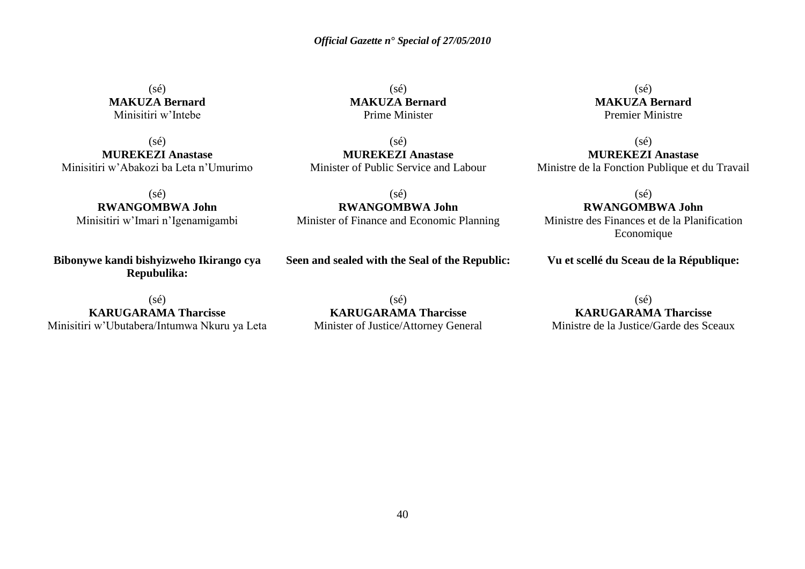(sé) **MAKUZA Bernard** Minisitiri w'Intebe

 $(sé)$ **MUREKEZI Anastase** Minisitiri w'Abakozi ba Leta n'Umurimo

 $(sé)$ **RWANGOMBWA John** Minisitiri w'Imari n'Igenamigambi

**Bibonywe kandi bishyizweho Ikirango cya Repubulika:**

 $(sé)$ **KARUGARAMA Tharcisse** Minisitiri w'Ubutabera/Intumwa Nkuru ya Leta

 $(s\acute{e})$ **MAKUZA Bernard** Prime Minister

 $(s\acute{e})$ **MUREKEZI Anastase** Minister of Public Service and Labour

(sé) **RWANGOMBWA John** Minister of Finance and Economic Planning

**Seen and sealed with the Seal of the Republic:**

 $(s\acute{e})$ **MAKUZA Bernard** Premier Ministre

 $(s\acute{e})$ 

**MUREKEZI Anastase** Ministre de la Fonction Publique et du Travail

(sé)

**RWANGOMBWA John**

Ministre des Finances et de la Planification Economique

**Vu et scellé du Sceau de la République:**

 $(s\acute{e})$ **KARUGARAMA Tharcisse** Minister of Justice/Attorney General

(sé) **KARUGARAMA Tharcisse**

Ministre de la Justice/Garde des Sceaux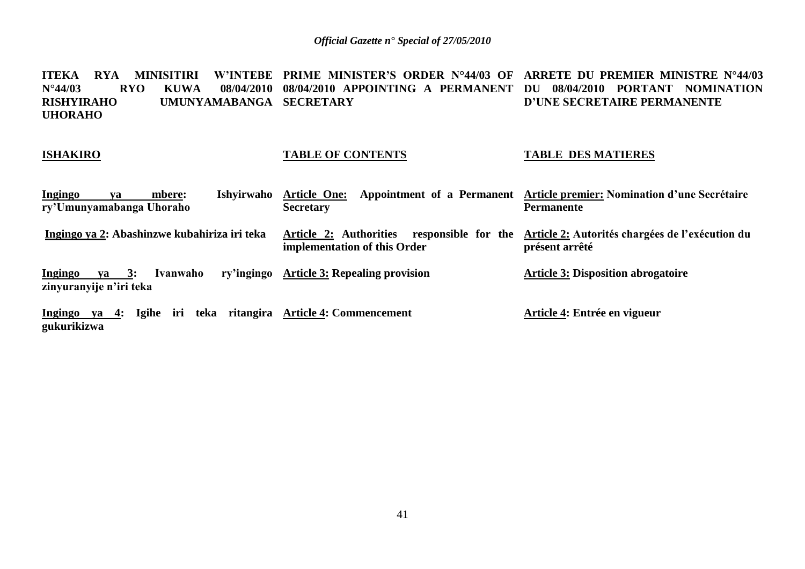**ITEKA RYA MINISITIRI W'INTEBE PRIME MINISTER'S ORDER N°44/03 OF ARRETE DU PREMIER MINISTRE N°44/03 N°44/03 RYO KUWA 08/04/2010 08/04/2010 APPOINTING A PERMANENT DU 08/04/2010 PORTANT NOMINATION RISHYIRAHO UMUNYAMABANGA SECRETARY UHORAHO D'UNE SECRETAIRE PERMANENTE**

#### **ISHAKIRO**

### **TABLE OF CONTENTS**

#### **TABLE DES MATIERES**

| <b>Ingingo</b><br>Ishvirwaho<br>mbere:<br>va<br>ry'Umunyamabanga Uhoraho         | <b>Article One:</b><br><b>Secretary</b>                                                                                    | Appointment of a Permanent Article premier: Nomination d'une Secrétaire<br><b>Permanente</b> |
|----------------------------------------------------------------------------------|----------------------------------------------------------------------------------------------------------------------------|----------------------------------------------------------------------------------------------|
| Ingingo ya 2: Abashinzwe kubahiriza iri teka                                     | Article 2: Authorities responsible for the Article 2: Autorités chargées de l'exécution du<br>implementation of this Order | présent arrêté                                                                               |
| Ivanwaho<br>$ya \quad 3:$<br><u>Ingingo</u><br>zinyuranyije n'iri teka           | ry'ingingo Article 3: Repealing provision                                                                                  | <b>Article 3: Disposition abrogatoire</b>                                                    |
| Igihe iri teka ritangira Article 4: Commencement<br>Ingingo ya 4:<br>gukurikizwa |                                                                                                                            | Article 4: Entrée en vigueur                                                                 |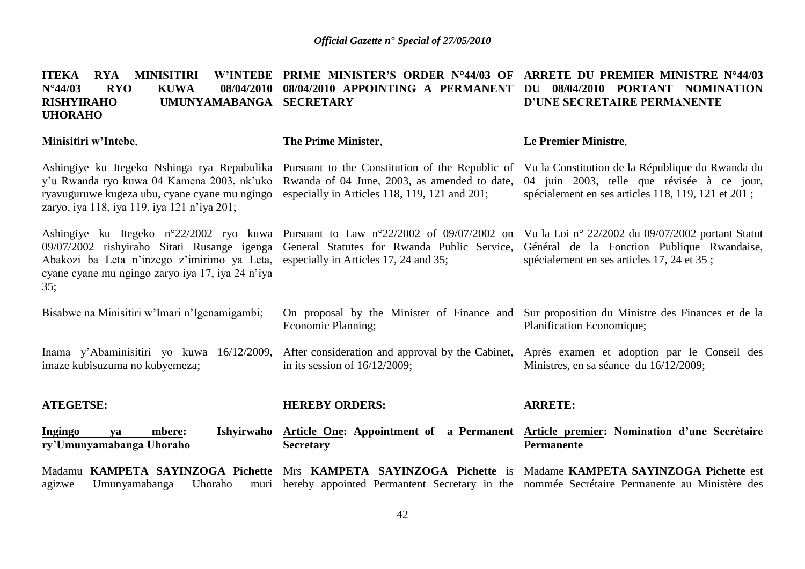| <b>RYA</b><br><b>MINISITIRI</b><br><b>ITEKA</b><br><b>W'INTEBE</b><br>$N^{\circ}44/03$<br><b>RYO</b><br><b>KUWA</b><br>08/04/2010<br><b>RISHYIRAHO</b><br>UMUNYAMABANGA SECRETARY<br><b>UHORAHO</b> | PRIME MINISTER'S ORDER N°44/03 OF<br>08/04/2010 APPOINTING A PERMANENT                                                                                                        | ARRETE DU PREMIER MINISTRE N°44/03<br>08/04/2010 PORTANT NOMINATION<br>DU<br>D'UNE SECRETAIRE PERMANENTE                                                                                                     |
|-----------------------------------------------------------------------------------------------------------------------------------------------------------------------------------------------------|-------------------------------------------------------------------------------------------------------------------------------------------------------------------------------|--------------------------------------------------------------------------------------------------------------------------------------------------------------------------------------------------------------|
| Minisitiri w'Intebe,                                                                                                                                                                                | <b>The Prime Minister,</b>                                                                                                                                                    | <b>Le Premier Ministre,</b>                                                                                                                                                                                  |
| Ashingiye ku Itegeko Nshinga rya Repubulika<br>y'u Rwanda ryo kuwa 04 Kamena 2003, nk'uko<br>ryavuguruwe kugeza ubu, cyane cyane mu ngingo<br>zaryo, iya 118, iya 119, iya 121 n'iya 201;           | Rwanda of 04 June, 2003, as amended to date,<br>especially in Articles 118, 119, 121 and 201;                                                                                 | Pursuant to the Constitution of the Republic of Vu la Constitution de la République du Rwanda du<br>04 juin 2003, telle que révisée à ce jour,<br>spécialement en ses articles 118, 119, 121 et 201;         |
| Abakozi ba Leta n'inzego z'imirimo ya Leta, especially in Articles 17, 24 and 35;<br>cyane cyane mu ngingo zaryo iya 17, iya 24 n'iya<br>35;                                                        | Ashingiye ku Itegeko n°22/2002 ryo kuwa Pursuant to Law n°22/2002 of 09/07/2002 on<br>09/07/2002 rishyiraho Sitati Rusange igenga General Statutes for Rwanda Public Service, | Vu la Loi nº 22/2002 du 09/07/2002 portant Statut<br>Général de la Fonction Publique Rwandaise,<br>spécialement en ses articles 17, 24 et 35;                                                                |
| Bisabwe na Minisitiri w'Imari n'Igenamigambi;                                                                                                                                                       | On proposal by the Minister of Finance and<br>Economic Planning;                                                                                                              | Sur proposition du Ministre des Finances et de la<br>Planification Economique;                                                                                                                               |
| Inama y'Abaminisitiri yo kuwa 16/12/2009,<br>imaze kubisuzuma no kubyemeza;                                                                                                                         | After consideration and approval by the Cabinet,<br>in its session of $16/12/2009$ ;                                                                                          | Après examen et adoption par le Conseil des<br>Ministres, en sa séance du 16/12/2009;                                                                                                                        |
| <b>ATEGETSE:</b>                                                                                                                                                                                    | <b>HEREBY ORDERS:</b>                                                                                                                                                         | <b>ARRETE:</b>                                                                                                                                                                                               |
| Ingingo<br>mbere:<br>ya<br>ry'Umunyamabanga Uhoraho                                                                                                                                                 | <b>Secretary</b>                                                                                                                                                              | Ishyirwaho Article One: Appointment of a Permanent Article premier: Nomination d'une Secrétaire<br><b>Permanente</b>                                                                                         |
| Umunyamabanga<br>Uhoraho<br>agizwe                                                                                                                                                                  |                                                                                                                                                                               | Madamu KAMPETA SAYINZOGA Pichette Mrs KAMPETA SAYINZOGA Pichette is Madame KAMPETA SAYINZOGA Pichette est<br>muri hereby appointed Permantent Secretary in the nommée Secrétaire Permanente au Ministère des |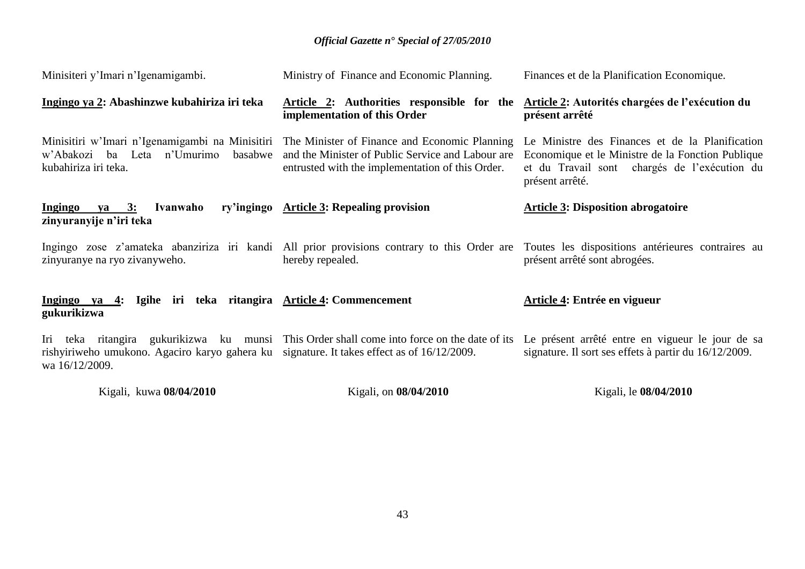| Kigali, kuwa 08/04/2010                                                                                      | Kigali, on 08/04/2010                                                                                                                                                                                  | Kigali, le 08/04/2010                                                                                                                                                          |
|--------------------------------------------------------------------------------------------------------------|--------------------------------------------------------------------------------------------------------------------------------------------------------------------------------------------------------|--------------------------------------------------------------------------------------------------------------------------------------------------------------------------------|
| rishyiriweho umukono. Agaciro karyo gahera ku signature. It takes effect as of 16/12/2009.<br>wa 16/12/2009. | Iri teka ritangira gukurikizwa ku munsi This Order shall come into force on the date of its                                                                                                            | Le présent arrêté entre en vigueur le jour de sa<br>signature. Il sort ses effets à partir du 16/12/2009.                                                                      |
| Ingingo ya 4: Igihe iri teka ritangira Article 4: Commencement<br>gukurikizwa                                |                                                                                                                                                                                                        | Article 4: Entrée en vigueur                                                                                                                                                   |
| zinyuranye na ryo zivanyweho.                                                                                | hereby repealed.                                                                                                                                                                                       | Ingingo zose z'amateka abanziriza iri kandi All prior provisions contrary to this Order are Toutes les dispositions antérieures contraires au<br>présent arrêté sont abrogées. |
| <b>Ingingo</b><br><u>ya 3:</u><br>Ivanwaho<br>zinyuranyije n'iri teka                                        | ry'ingingo Article 3: Repealing provision                                                                                                                                                              | <b>Article 3: Disposition abrogatoire</b>                                                                                                                                      |
| w'Abakozi ba Leta n'Umurimo<br>basabwe<br>kubahiriza iri teka.                                               | Minisitiri w'Imari n'Igenamigambi na Minisitiri The Minister of Finance and Economic Planning<br>and the Minister of Public Service and Labour are<br>entrusted with the implementation of this Order. | Le Ministre des Finances et de la Planification<br>Economique et le Ministre de la Fonction Publique<br>et du Travail sont chargés de l'exécution du<br>présent arrêté.        |
| Ingingo ya 2: Abashinzwe kubahiriza iri teka                                                                 | Article 2: Authorities responsible for the<br>implementation of this Order                                                                                                                             | Article 2: Autorités chargées de l'exécution du<br>présent arrêté                                                                                                              |
| Minisiteri y'Imari n'Igenamigambi.                                                                           | Ministry of Finance and Economic Planning.                                                                                                                                                             | Finances et de la Planification Economique.                                                                                                                                    |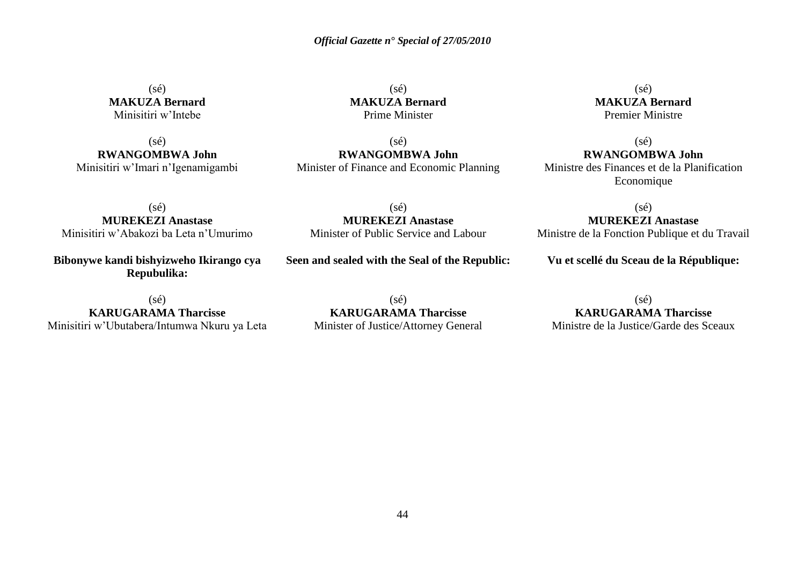(sé) **MAKUZA Bernard** Minisitiri w'Intebe

 $(sé)$ **RWANGOMBWA John** Minisitiri w'Imari n'Igenamigambi

 $(s\acute{e})$ **MAKUZA Bernard** Prime Minister

 $(sé)$ **RWANGOMBWA John** Minister of Finance and Economic Planning

 $(s\acute{e})$ **MAKUZA Bernard** Premier Ministre

 $(s\acute{e})$ **RWANGOMBWA John** Ministre des Finances et de la Planification Economique

(sé) **MUREKEZI Anastase** Minisitiri w'Abakozi ba Leta n'Umurimo

**Bibonywe kandi bishyizweho Ikirango cya Repubulika:**

 $(sé)$ **KARUGARAMA Tharcisse** Minisitiri w'Ubutabera/Intumwa Nkuru ya Leta

(sé) **MUREKEZI Anastase** Minister of Public Service and Labour

**Seen and sealed with the Seal of the Republic:**

 $(s\acute{e})$ **KARUGARAMA Tharcisse** Minister of Justice/Attorney General

 $(sé)$ **MUREKEZI Anastase**

Ministre de la Fonction Publique et du Travail

**Vu et scellé du Sceau de la République:**

(sé) **KARUGARAMA Tharcisse** Ministre de la Justice/Garde des Sceaux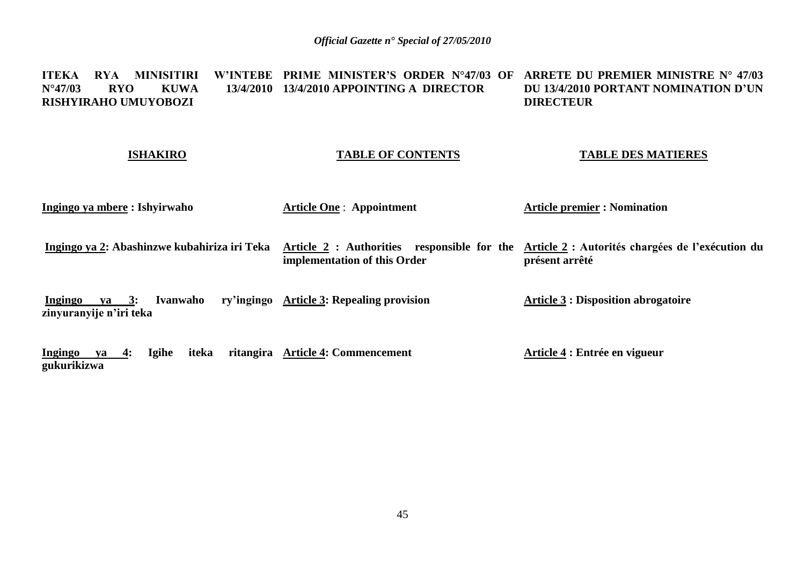#### **ITEKA RYA MINISITIRI<br>N°47/03 RYO KUWA N°47/03 RYO KUWA 13/4/2010 13/4/2010 APPOINTING A DIRECTOR RISHYIRAHO UMUYOBOZI PRIME MINISTER'S ORDER N°47/03 OF ARRETE DU PREMIER MINISTRE N° 47/03 DU 13/4/2010 PORTANT NOMINATION D'UN DIRECTEUR**

#### **ISHAKIRO**

#### **TABLE OF CONTENTS**

#### **TABLE DES MATIERES**

**Ingingo ya mbere : Ishyirwaho** 

**Article One** : **Appointment** 

**Article premier : Nomination** 

**Ingingo ya 2: Abashinzwe kubahiriza iri Teka Article 2 : Authorities responsible for the Article 2 : Autorités chargées de l'exécution du implementation of this Order présent arrêté**

**Ingingo ya 3: Ivanwaho zinyuranyije n'iri teka** ry'ingingo **Article 3:** Repealing provision **Article 3 : Disposition abrogatoire**

Ingingo ya 4: Igihe iteka **gukurikizwa Article 4: Commencement Article 4 : Entrée en vigueur**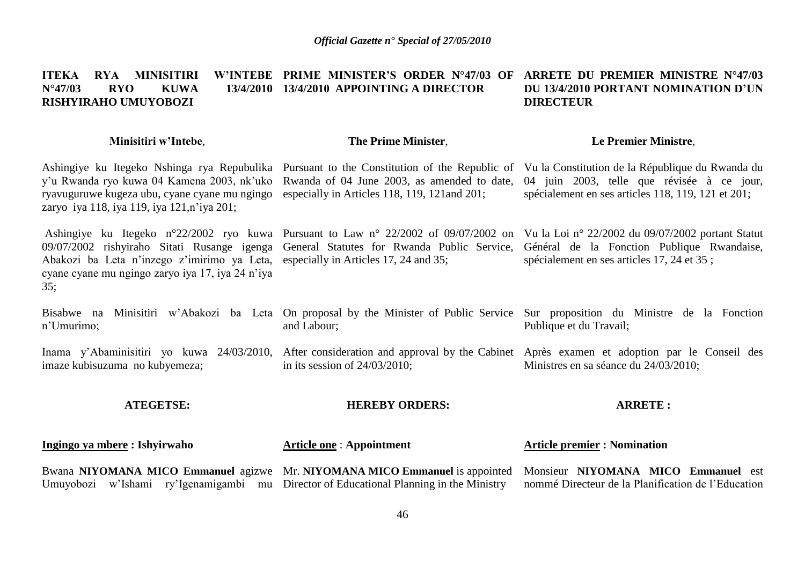#### **ITEKA RYA MINISITIRI N°47/03 RYO KUWA 13/4/2010 13/4/2010 APPOINTING A DIRECTOR RISHYIRAHO UMUYOBOZI PRIME MINISTER'S ORDER N°47/03 OF ARRETE DU PREMIER MINISTRE N°47/03 DU 13/4/2010 PORTANT NOMINATION D'UN DIRECTEUR**

#### **Minisitiri w'Intebe**,

### **The Prime Minister**,

#### **Le Premier Ministre**,

Ashingiye ku Itegeko Nshinga rya Repubulika Pursuant to the Constitution of the Republic of Vu la Constitution de la République du Rwanda du y'u Rwanda ryo kuwa 04 Kamena 2003, nk'uko Rwanda of 04 June 2003, as amended to date, 04 juin 2003, telle que révisée à ce jour, ryavuguruwe kugeza ubu, cyane cyane mu ngingo especially in Articles 118, 119, 121and 201; zaryo iya 118, iya 119, iya 121,n'iya 201; spécialement en ses articles 118, 119, 121 et 201;

09/07/2002 rishyiraho Sitati Rusange igenga Abakozi ba Leta n'inzego z'imirimo ya Leta, cyane cyane mu ngingo zaryo iya 17, iya 24 n'iya 35;

General Statutes for Rwanda Public Service, especially in Articles 17, 24 and 35;

Ashingiye ku Itegeko n°22/2002 ryo kuwa Pursuant to Law n° 22/2002 of 09/07/2002 on Vu la Loi n° 22/2002 du 09/07/2002 portant Statut

Général de la Fonction Publique Rwandaise, spécialement en ses articles 17, 24 et 35 ;

Bisabwe na Minisitiri w'Abakozi ba Leta On proposal by the Minister of Public Service Sur proposition du Ministre de la Fonction n'Umurimo; and Labour; Publique et du Travail;

Inama y'Abaminisitiri yo kuwa 24/03/2010, After consideration and approval by the Cabinet Après examen et adoption par le Conseil des imaze kubisuzuma no kubyemeza; in its session of 24/03/2010; Ministres en sa séance du 24/03/2010;

**ATEGETSE:**

#### **HEREBY ORDERS:**

#### **ARRETE :**

| <u> Ingingo ya mbere</u> : Ishyirwaho | <b>Article one: Appointment</b> | <b>Article premier : Nomination</b>                                                                                                       |
|---------------------------------------|---------------------------------|-------------------------------------------------------------------------------------------------------------------------------------------|
|                                       |                                 | Bwana NIYOMANA MICO Emmanuel agizwe Mr. NIYOMANA MICO Emmanuel is appointed Monsieur NIYOMANA MICO Emmanuel est                           |
|                                       |                                 | Umuyobozi w'Ishami ry'Igenamigambi mu Director of Educational Planning in the Ministry nommé Directeur de la Planification de l'Education |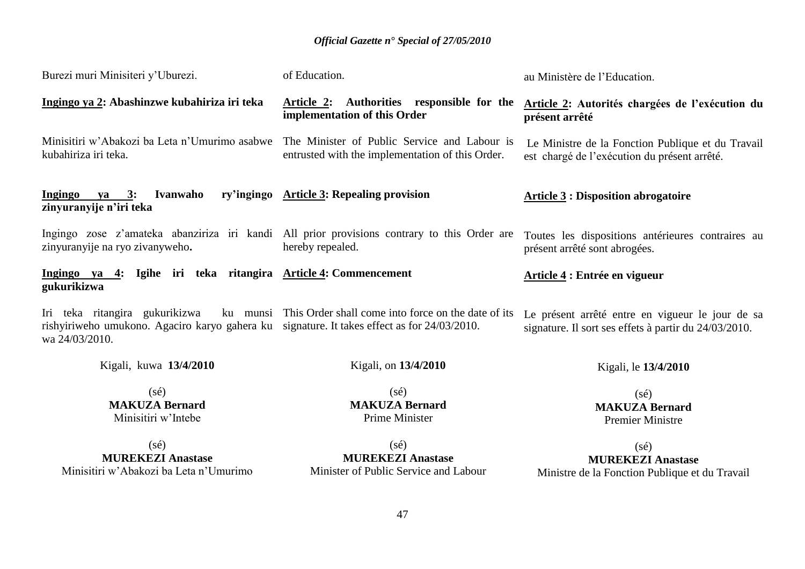| Burezi muri Minisiteri y'Uburezi.                                                                                                               | of Education.                                                                                                   | au Ministère de l'Education.                                                                              |
|-------------------------------------------------------------------------------------------------------------------------------------------------|-----------------------------------------------------------------------------------------------------------------|-----------------------------------------------------------------------------------------------------------|
| Ingingo ya 2: Abashinzwe kubahiriza iri teka                                                                                                    | Article 2: Authorities responsible for the<br>implementation of this Order                                      | Article 2: Autorités chargées de l'exécution du<br>présent arrêté                                         |
| Minisitiri w'Abakozi ba Leta n'Umurimo asabwe<br>kubahiriza iri teka.                                                                           | The Minister of Public Service and Labour is<br>entrusted with the implementation of this Order.                | Le Ministre de la Fonction Publique et du Travail<br>est chargé de l'exécution du présent arrêté.         |
| Ingingo ya 3:<br>Ivanwaho<br>zinyuranyije n'iri teka                                                                                            | ry'ingingo Article 3: Repealing provision                                                                       | <b>Article 3 : Disposition abrogatoire</b>                                                                |
| zinyuranyije na ryo zivanyweho.                                                                                                                 | Ingingo zose z'amateka abanziriza iri kandi All prior provisions contrary to this Order are<br>hereby repealed. | Toutes les dispositions antérieures contraires au<br>présent arrêté sont abrogées.                        |
| Ingingo ya 4: Igihe iri teka ritangira Article 4: Commencement<br>gukurikizwa                                                                   |                                                                                                                 | Article 4 : Entrée en vigueur                                                                             |
| Iri teka ritangira gukurikizwa<br>rishyiriweho umukono. Agaciro karyo gahera ku signature. It takes effect as for 24/03/2010.<br>wa 24/03/2010. | ku munsi This Order shall come into force on the date of its                                                    | Le présent arrêté entre en vigueur le jour de sa<br>signature. Il sort ses effets à partir du 24/03/2010. |
| Kigali, kuwa 13/4/2010                                                                                                                          | Kigali, on 13/4/2010                                                                                            | Kigali, le 13/4/2010                                                                                      |
| $(s\acute{e})$<br><b>MAKUZA Bernard</b><br>Minisitiri w'Intebe                                                                                  | $(s\acute{e})$<br><b>MAKUZA Bernard</b><br>Prime Minister                                                       | $(s\acute{e})$<br><b>MAKUZA Bernard</b><br><b>Premier Ministre</b>                                        |
| $(s\acute{e})$<br><b>MUREKEZI Anastase</b><br>Minisitiri w'Abakozi ba Leta n'Umurimo                                                            | $(s\acute{e})$<br><b>MUREKEZI Anastase</b><br>Minister of Public Service and Labour                             | $(s\acute{e})$<br><b>MUREKEZI Anastase</b><br>Ministre de la Fonction Publique et du Travail              |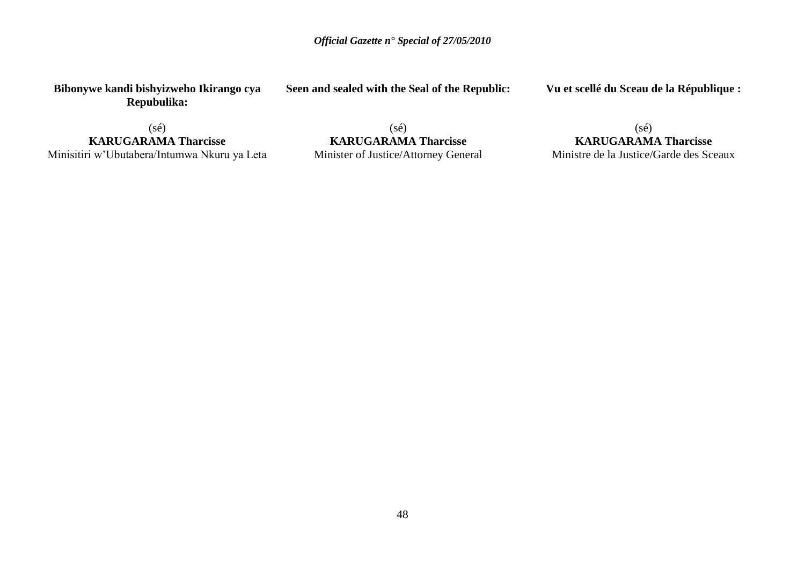**Bibonywe kandi bishyizweho Ikirango cya Repubulika:**

**Seen and sealed with the Seal of the Republic:**

**Vu et scellé du Sceau de la République :**

 $(s\acute{e})$ 

**KARUGARAMA Tharcisse** Minisitiri w'Ubutabera/Intumwa Nkuru ya Leta

(sé) **KARUGARAMA Tharcisse** Minister of Justice/Attorney General

(sé) **KARUGARAMA Tharcisse** Ministre de la Justice/Garde des Sceaux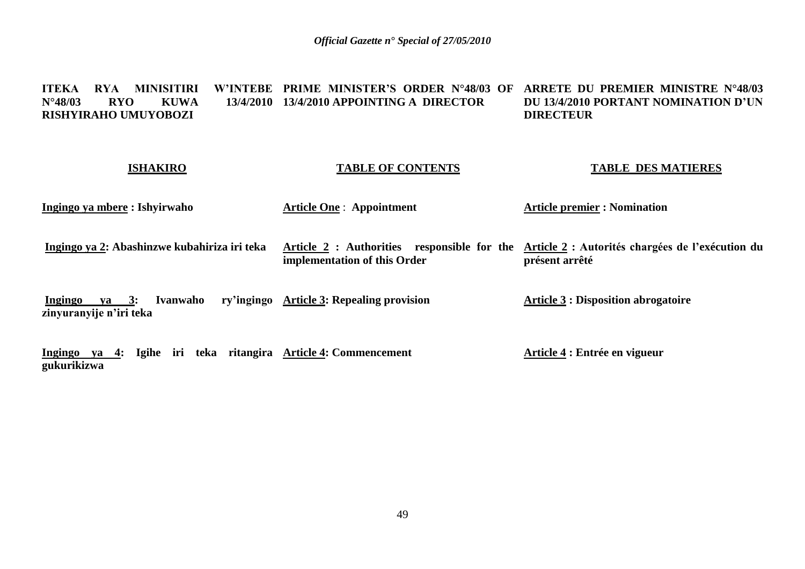#### **ITEKA RYA MINISITIRI<br>N°48/03 RYO KUWA N°48/03 RYO KUWA 13/4/2010 13/4/2010 APPOINTING A DIRECTOR RISHYIRAHO UMUYOBOZI PRIME MINISTER'S ORDER N°48/03 OF ARRETE DU PREMIER MINISTRE N°48/03 DU 13/4/2010 PORTANT NOMINATION D'UN DIRECTEUR**

#### **ISHAKIRO**

#### **TABLE OF CONTENTS**

#### **TABLE DES MATIERES**

**Ingingo ya mbere : Ishyirwaho** 

**Article One** : **Appointment** 

**Article premier : Nomination** 

**Ingingo ya 2: Abashinzwe kubahiriza iri teka Article 2 : Authorities responsible for the Article 2 : Autorités chargées de l'exécution du implementation of this Order présent arrêté**

**Ingingo ya 3: Ivanwaho zinyuranyije n'iri teka ry'ingingo Article 3: Repealing provision Article 3 : Disposition abrogatoire**

**Ingingo ya 4: Igihe iri teka ritangira Article 4: Commencement gukurikizwa Article 4 : Entrée en vigueur**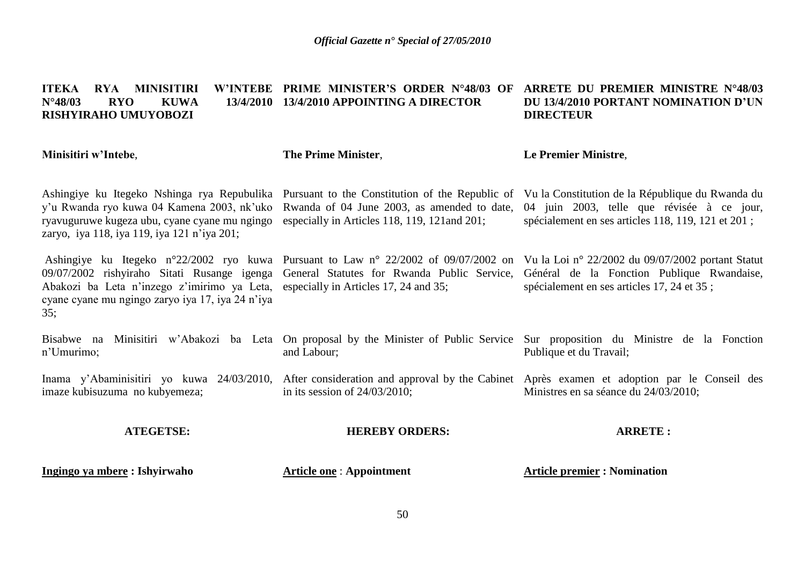#### **ITEKA RYA MINISITIRI N°48/03 RYO KUWA 13/4/2010 13/4/2010 APPOINTING A DIRECTOR RISHYIRAHO UMUYOBOZI PRIME MINISTER'S ORDER N°48/03 OF ARRETE DU PREMIER MINISTRE N°48/03 DU 13/4/2010 PORTANT NOMINATION D'UN DIRECTEUR**

#### **Minisitiri w'Intebe**, Ashingiye ku Itegeko Nshinga rya Repubulika Pursuant to the Constitution of the Republic of Vu la Constitution de la République du Rwanda du y'u Rwanda ryo kuwa 04 Kamena 2003, nk'uko ryavuguruwe kugeza ubu, cyane cyane mu ngingo zaryo, iya 118, iya 119, iya 121 n'iya 201; Ashingiye ku Itegeko n°22/2002 ryo kuwa Pursuant to Law n° 22/2002 of 09/07/2002 on 09/07/2002 rishyiraho Sitati Rusange igenga General Statutes for Rwanda Public Service, Général de la Fonction Publique Rwandaise, Abakozi ba Leta n'inzego z'imirimo ya Leta, especially in Articles 17, 24 and 35; cyane cyane mu ngingo zaryo iya 17, iya 24 n'iya 35; Bisabwe na Minisitiri w'Abakozi ba Leta On-proposal-by-the-Minister-of-Public-Service Sur-proposition du Ministre de la Fonction n'Umurimo; Inama y'Abaminisitiri yo kuwa 24/03/2010, After consideration and approval by the Cabinet Après examen et adoption par le Conseil des imaze kubisuzuma no kubyemeza; **ATEGETSE: The Prime Minister**, Rwanda of 04 June 2003, as amended to date, especially in Articles 118, 119, 121and 201; and Labour; in its session of 24/03/2010; **HEREBY ORDERS: Le Premier Ministre**, 04 juin 2003, telle que révisée à ce jour, spécialement en ses articles 118, 119, 121 et 201 ; Vu la Loi n° 22/2002 du 09/07/2002 portant Statut spécialement en ses articles 17, 24 et 35 ; Publique et du Travail; Ministres en sa séance du 24/03/2010; **ARRETE :**

**Ingingo ya mbere : Ishyirwaho** 

**Article one** : **Appointment**

**Article premier : Nomination**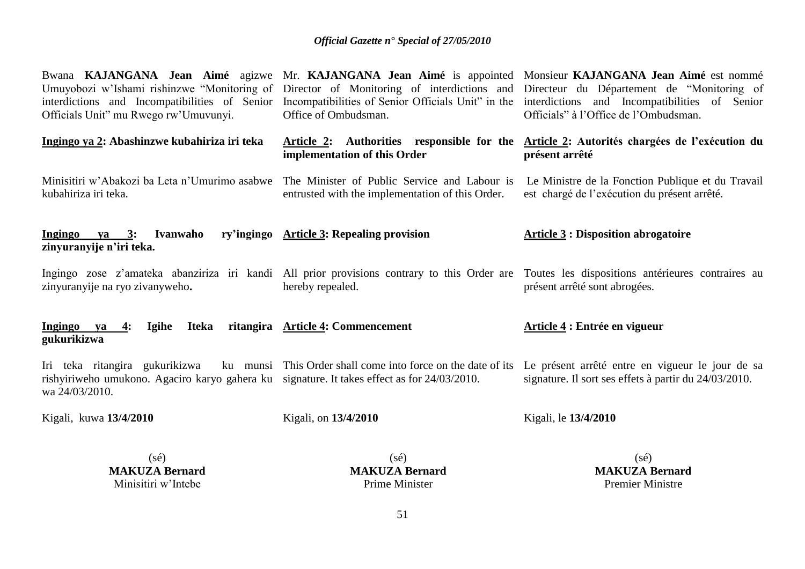| Officials Unit" mu Rwego rw'Umuvunyi.                                                                                                           | Office of Ombudsman.                                                                             | Bwana KAJANGANA Jean Aimé agizwe Mr. KAJANGANA Jean Aimé is appointed Monsieur KAJANGANA Jean Aimé est nommé<br>Umuyobozi w'Ishami rishinzwe "Monitoring of Director of Monitoring of interdictions and Directeur du Département de "Monitoring of<br>interdictions and Incompatibilities of Senior Incompatibilities of Senior Officials Unit" in the interdictions and Incompatibilities of Senior<br>Officials" à l'Office de l'Ombudsman. |
|-------------------------------------------------------------------------------------------------------------------------------------------------|--------------------------------------------------------------------------------------------------|-----------------------------------------------------------------------------------------------------------------------------------------------------------------------------------------------------------------------------------------------------------------------------------------------------------------------------------------------------------------------------------------------------------------------------------------------|
| Ingingo ya 2: Abashinzwe kubahiriza iri teka                                                                                                    | Article 2: Authorities responsible for the<br>implementation of this Order                       | Article 2: Autorités chargées de l'exécution du<br>présent arrêté                                                                                                                                                                                                                                                                                                                                                                             |
| Minisitiri w'Abakozi ba Leta n'Umurimo asabwe<br>kubahiriza iri teka.                                                                           | The Minister of Public Service and Labour is<br>entrusted with the implementation of this Order. | Le Ministre de la Fonction Publique et du Travail<br>est chargé de l'exécution du présent arrêté.                                                                                                                                                                                                                                                                                                                                             |
| Ingingo ya 3:<br>Ivanwaho<br>zinyuranyije n'iri teka.                                                                                           | ry'ingingo Article 3: Repealing provision                                                        | <b>Article 3: Disposition abrogatoire</b>                                                                                                                                                                                                                                                                                                                                                                                                     |
| zinyuranyije na ryo zivanyweho.                                                                                                                 | hereby repealed.                                                                                 | Ingingo zose z'amateka abanziriza iri kandi All prior provisions contrary to this Order are Toutes les dispositions antérieures contraires au<br>présent arrêté sont abrogées.                                                                                                                                                                                                                                                                |
| Ingingo ya<br>Iteka<br>4:<br><b>Igihe</b><br>gukurikizwa                                                                                        | ritangira Article 4: Commencement                                                                | Article 4 : Entrée en vigueur                                                                                                                                                                                                                                                                                                                                                                                                                 |
| Iri teka ritangira gukurikizwa<br>rishyiriweho umukono. Agaciro karyo gahera ku signature. It takes effect as for 24/03/2010.<br>wa 24/03/2010. | ku munsi This Order shall come into force on the date of its                                     | Le présent arrêté entre en vigueur le jour de sa<br>signature. Il sort ses effets à partir du 24/03/2010.                                                                                                                                                                                                                                                                                                                                     |
| Kigali, kuwa 13/4/2010                                                                                                                          | Kigali, on 13/4/2010                                                                             | Kigali, le 13/4/2010                                                                                                                                                                                                                                                                                                                                                                                                                          |
| $(s\acute{e})$                                                                                                                                  | $(s\acute{e})$                                                                                   | $(s\acute{e})$                                                                                                                                                                                                                                                                                                                                                                                                                                |

**MAKUZA Bernard** Minisitiri w'Intebe

(sé) **MAKUZA Bernard** Prime Minister

(sé) **MAKUZA Bernard** Premier Ministre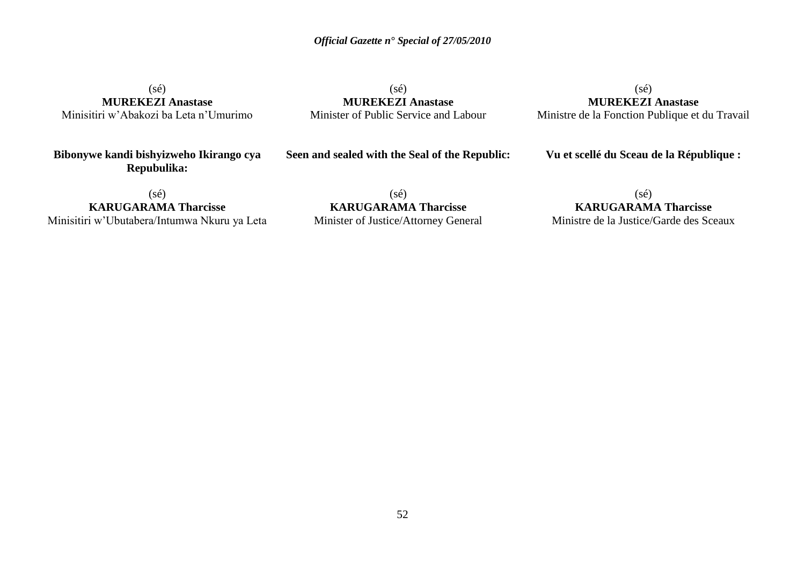(sé) **MUREKEZI Anastase** Minisitiri w'Abakozi ba Leta n'Umurimo

(sé) **MUREKEZI Anastase** Minister of Public Service and Labour

 $(s\acute{e})$ **MUREKEZI Anastase** Ministre de la Fonction Publique et du Travail

**Bibonywe kandi bishyizweho Ikirango cya Repubulika:**

**Seen and sealed with the Seal of the Republic:**

**Vu et scellé du Sceau de la République :**

 $(sé)$ 

**KARUGARAMA Tharcisse** Minisitiri w'Ubutabera/Intumwa Nkuru ya Leta

(sé) **KARUGARAMA Tharcisse** Minister of Justice/Attorney General

(sé) **KARUGARAMA Tharcisse** Ministre de la Justice/Garde des Sceaux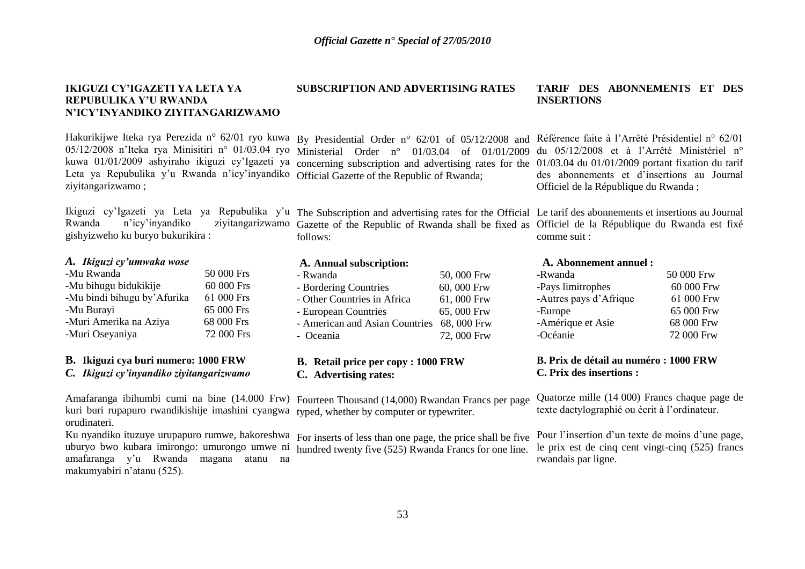#### **IKIGUZI CY'IGAZETI YA LETA YA REPUBULIKA Y'U RWANDA N'ICY'INYANDIKO ZIYITANGARIZWAMO**

kuwa 01/01/2009 ashyiraho ikiguzi cy'Igazeti ya Leta ya Repubulika y'u Rwanda n'icy'inyandiko Official Gazette of the Republic of Rwanda; ziyitangarizwamo ;

Ikiguzi cy'Igazeti ya Leta ya Repubulika y'u The Subscription and advertising rates for the Official Le tarif des abonnements et insertions au Journal gishyizweho ku buryo bukurikira :

#### *A. Ikiguzi cy'umwaka wose*

| -Mu Rwanda                  | 50 000 Frs |
|-----------------------------|------------|
| -Mu bihugu bidukikije       | 60 000 Frs |
| -Mu bindi bihugu by'Afurika | 61 000 Frs |
| -Mu Burayi                  | 65 000 Frs |
| -Muri Amerika na Aziya      | 68 000 Frs |
| -Muri Oseyaniya             | 72 000 Frs |
|                             |            |

#### **B. Ikiguzi cya buri numero: 1000 FRW**

*C. Ikiguzi cy'inyandiko ziyitangarizwamo*

Amafaranga ibihumbi cumi na bine (14.000 Frw) Fourteen Thousand (14,000) Rwandan Francs per page kuri buri rupapuro rwandikishije imashini cyangwa typed, whether by computer or typewriter. orudinateri.

Ku nyandiko ituzuye urupapuro rumwe, hakoreshwa For inserts of less than one page, the price shall be five uburyo bwo kubara imirongo: umurongo umwe ni amafaranga y'u Rwanda magana atanu na makumyabiri n'atanu (525).

# **SUBSCRIPTION AND ADVERTISING RATES**

05/12/2008 n'Iteka rya Minisitiri n° 01/03.04 ryo Ministerial Order n° 01/03.04 of 01/01/2009 concerning subscription and advertising rates for the

Rwanda n'icy'inyandiko ziyitangarizwamo Gazette of the Republic of Rwanda shall be fixed as Officiel de la République du Rwanda est fixé follows:

#### **A. Annual subscription:**

| - Rwanda                                   | 50,000 Frw |
|--------------------------------------------|------------|
| - Bordering Countries                      | 60,000 Frw |
| - Other Countries in Africa                | 61,000 Frw |
| - European Countries                       | 65,000 Frw |
| - American and Asian Countries 68, 000 Frw |            |
| - Oceania                                  | 72,000 Frw |
|                                            |            |

#### **B. Retail price per copy : 1000 FRW C. Advertising rates:**

hundred twenty five (525) Rwanda Francs for one line.

#### **TARIF DES ABONNEMENTS ET DES INSERTIONS**

Hakurikijwe Iteka rya Perezida n° 62/01 ryo kuwa By Presidential Order n° 62/01 of 05/12/2008 and Référence faite à l'Arrêté Présidentiel n° 62/01 du 05/12/2008 et à l'Arrêté Ministériel n° 01/03.04 du 01/01/2009 portant fixation du tarif des abonnements et d'insertions au Journal Officiel de la République du Rwanda ;

comme suit :

#### **A. Abonnement annuel :**

| -Rwanda                | 50 000 Frw |
|------------------------|------------|
| -Pays limitrophes      | 60 000 Frw |
| -Autres pays d'Afrique | 61 000 Frw |
| -Europe                | 65 000 Frw |
| -Amérique et Asie      | 68 000 Frw |
| -Océanie               | 72 000 Frw |
|                        |            |

#### **B. Prix de détail au numéro : 1000 FRW C. Prix des insertions :**

Quatorze mille (14 000) Francs chaque page de texte dactylographié ou écrit à l'ordinateur.

Pour l'insertion d'un texte de moins d'une page, le prix est de cinq cent vingt-cinq (525) francs rwandais par ligne.